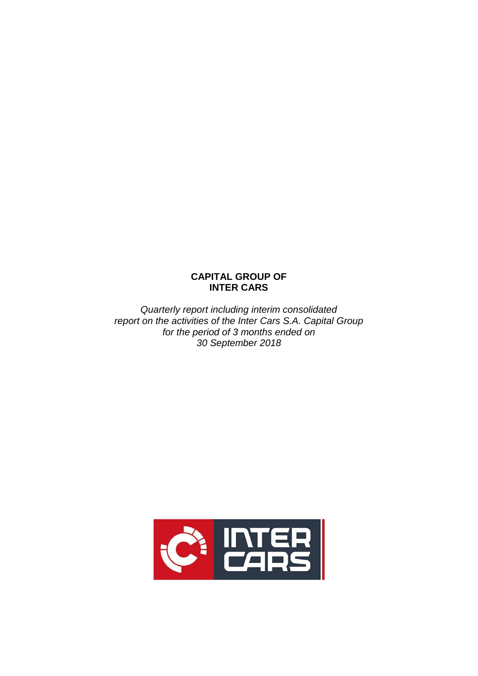# **CAPITAL GROUP OF INTER CARS**

*Quarterly report including interim consolidated report on the activities of the Inter Cars S.A. Capital Group for the period of 3 months ended on 30 September 2018*

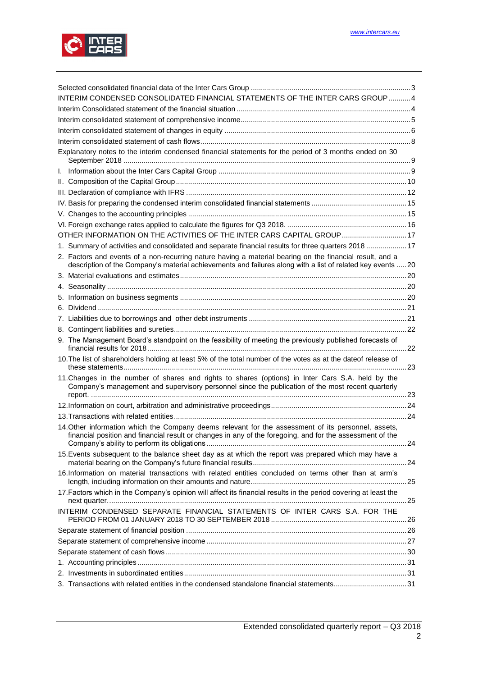

| INTERIM CONDENSED CONSOLIDATED FINANCIAL STATEMENTS OF THE INTER CARS GROUP4                                                                                                                                           |  |  |  |  |  |  |
|------------------------------------------------------------------------------------------------------------------------------------------------------------------------------------------------------------------------|--|--|--|--|--|--|
|                                                                                                                                                                                                                        |  |  |  |  |  |  |
|                                                                                                                                                                                                                        |  |  |  |  |  |  |
|                                                                                                                                                                                                                        |  |  |  |  |  |  |
|                                                                                                                                                                                                                        |  |  |  |  |  |  |
| Explanatory notes to the interim condensed financial statements for the period of 3 months ended on 30                                                                                                                 |  |  |  |  |  |  |
|                                                                                                                                                                                                                        |  |  |  |  |  |  |
|                                                                                                                                                                                                                        |  |  |  |  |  |  |
|                                                                                                                                                                                                                        |  |  |  |  |  |  |
|                                                                                                                                                                                                                        |  |  |  |  |  |  |
|                                                                                                                                                                                                                        |  |  |  |  |  |  |
|                                                                                                                                                                                                                        |  |  |  |  |  |  |
| OTHER INFORMATION ON THE ACTIVITIES OF THE INTER CARS CAPITAL GROUP 17                                                                                                                                                 |  |  |  |  |  |  |
| 1. Summary of activities and consolidated and separate financial results for three quarters 201817                                                                                                                     |  |  |  |  |  |  |
| 2. Factors and events of a non-recurring nature having a material bearing on the financial result, and a<br>description of the Company's material achievements and failures along with a list of related key events 20 |  |  |  |  |  |  |
|                                                                                                                                                                                                                        |  |  |  |  |  |  |
|                                                                                                                                                                                                                        |  |  |  |  |  |  |
|                                                                                                                                                                                                                        |  |  |  |  |  |  |
|                                                                                                                                                                                                                        |  |  |  |  |  |  |
|                                                                                                                                                                                                                        |  |  |  |  |  |  |
|                                                                                                                                                                                                                        |  |  |  |  |  |  |
|                                                                                                                                                                                                                        |  |  |  |  |  |  |
| 9. The Management Board's standpoint on the feasibility of meeting the previously published forecasts of                                                                                                               |  |  |  |  |  |  |
| 10. The list of shareholders holding at least 5% of the total number of the votes as at the dateof release of                                                                                                          |  |  |  |  |  |  |
| 11. Changes in the number of shares and rights to shares (options) in Inter Cars S.A. held by the<br>Company's management and supervisory personnel since the publication of the most recent quarterly                 |  |  |  |  |  |  |
|                                                                                                                                                                                                                        |  |  |  |  |  |  |
|                                                                                                                                                                                                                        |  |  |  |  |  |  |
| 14. Other information which the Company deems relevant for the assessment of its personnel, assets,<br>financial position and financial result or changes in any of the foregoing, and for the assessment of the       |  |  |  |  |  |  |
| 15. Events subsequent to the balance sheet day as at which the report was prepared which may have a                                                                                                                    |  |  |  |  |  |  |
| 16.Information on material transactions with related entities concluded on terms other than at arm's                                                                                                                   |  |  |  |  |  |  |
| 17. Factors which in the Company's opinion will affect its financial results in the period covering at least the                                                                                                       |  |  |  |  |  |  |
| INTERIM CONDENSED SEPARATE FINANCIAL STATEMENTS OF INTER CARS S.A. FOR THE                                                                                                                                             |  |  |  |  |  |  |
|                                                                                                                                                                                                                        |  |  |  |  |  |  |
|                                                                                                                                                                                                                        |  |  |  |  |  |  |
|                                                                                                                                                                                                                        |  |  |  |  |  |  |
|                                                                                                                                                                                                                        |  |  |  |  |  |  |
|                                                                                                                                                                                                                        |  |  |  |  |  |  |
| 3. Transactions with related entities in the condensed standalone financial statements31                                                                                                                               |  |  |  |  |  |  |
|                                                                                                                                                                                                                        |  |  |  |  |  |  |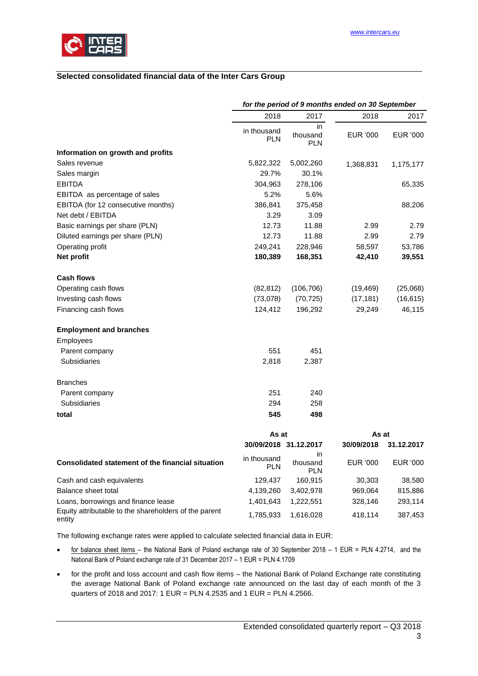

## <span id="page-2-0"></span>**Selected consolidated financial data of the Inter Cars Group**

|                                                                 | for the period of 9 months ended on 30 September |                              |            |            |  |
|-----------------------------------------------------------------|--------------------------------------------------|------------------------------|------------|------------|--|
|                                                                 | 2018                                             | 2017                         | 2018       | 2017       |  |
|                                                                 | in thousand<br><b>PLN</b>                        | in<br>thousand<br><b>PLN</b> | EUR '000   | EUR '000   |  |
| Information on growth and profits                               |                                                  |                              |            |            |  |
| Sales revenue                                                   | 5,822,322                                        | 5,002,260                    | 1,368,831  | 1,175,177  |  |
| Sales margin                                                    | 29.7%                                            | 30.1%                        |            |            |  |
| <b>EBITDA</b>                                                   | 304,963                                          | 278,106                      |            | 65,335     |  |
| EBITDA as percentage of sales                                   | 5.2%                                             | 5.6%                         |            |            |  |
| EBITDA (for 12 consecutive months)                              | 386,841                                          | 375,458                      |            | 88,206     |  |
| Net debt / EBITDA                                               | 3.29                                             | 3.09                         |            |            |  |
| Basic earnings per share (PLN)                                  | 12.73                                            | 11.88                        | 2.99       | 2.79       |  |
| Diluted earnings per share (PLN)                                | 12.73                                            | 11.88                        | 2.99       | 2.79       |  |
| Operating profit                                                | 249,241                                          | 228,946                      | 58,597     | 53,786     |  |
| Net profit                                                      | 180,389                                          | 168,351                      | 42,410     | 39,551     |  |
| <b>Cash flows</b>                                               |                                                  |                              |            |            |  |
| Operating cash flows                                            | (82, 812)                                        | (106, 706)                   | (19, 469)  | (25,068)   |  |
| Investing cash flows                                            | (73,078)                                         | (70, 725)                    | (17, 181)  | (16, 615)  |  |
| Financing cash flows                                            | 124,412                                          | 196,292                      | 29,249     | 46,115     |  |
| <b>Employment and branches</b>                                  |                                                  |                              |            |            |  |
| Employees                                                       |                                                  |                              |            |            |  |
| Parent company                                                  | 551                                              | 451                          |            |            |  |
| Subsidiaries                                                    | 2,818                                            | 2,387                        |            |            |  |
| <b>Branches</b>                                                 |                                                  |                              |            |            |  |
| Parent company                                                  | 251                                              | 240                          |            |            |  |
| Subsidiaries                                                    | 294                                              | 258                          |            |            |  |
| total                                                           | 545                                              | 498                          |            |            |  |
|                                                                 | As at                                            |                              | As at      |            |  |
|                                                                 | 30/09/2018 31.12.2017                            |                              | 30/09/2018 | 31.12.2017 |  |
| Consolidated statement of the financial situation               | in thousand<br><b>PLN</b>                        | in.<br>thousand<br>PLN       | EUR '000   | EUR '000   |  |
| Cash and cash equivalents                                       | 129,437                                          | 160,915                      | 30,303     | 38,580     |  |
| Balance sheet total                                             | 4,139,260                                        | 3,402,978                    | 969,064    | 815,886    |  |
| Loans, borrowings and finance lease                             | 1,401,643                                        | 1,222,551                    | 328,146    | 293,114    |  |
| Equity attributable to the shareholders of the parent<br>entity | 1,785,933                                        | 1,616,028                    | 418,114    | 387,453    |  |

The following exchange rates were applied to calculate selected financial data in EUR:

- for balance sheet items the National Bank of Poland exchange rate of 30 September 2018 1 EUR = PLN 4.2714, and the National Bank of Poland exchange rate of 31 December 2017 – 1 EUR = PLN 4.1709
- for the profit and loss account and cash flow items the National Bank of Poland Exchange rate constituting the average National Bank of Poland exchange rate announced on the last day of each month of the 3 quarters of 2018 and 2017: 1 EUR = PLN 4.2535 and 1 EUR = PLN 4.2566.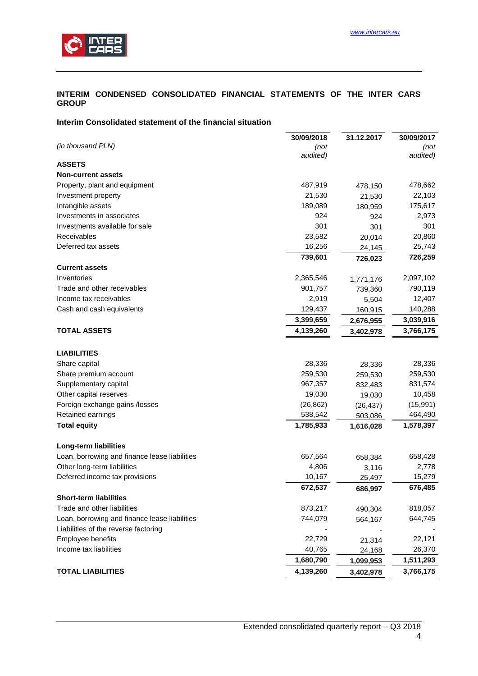

## <span id="page-3-0"></span>**INTERIM CONDENSED CONSOLIDATED FINANCIAL STATEMENTS OF THE INTER CARS GROUP**

## <span id="page-3-1"></span>**Interim Consolidated statement of the financial situation**

|                                               | 30/09/2018 | 31.12.2017 | 30/09/2017 |
|-----------------------------------------------|------------|------------|------------|
| (in thousand PLN)                             | (not       |            | (not       |
|                                               | audited)   |            | audited)   |
| <b>ASSETS</b>                                 |            |            |            |
| <b>Non-current assets</b>                     |            |            |            |
| Property, plant and equipment                 | 487,919    | 478,150    | 478,662    |
| Investment property                           | 21,530     | 21,530     | 22,103     |
| Intangible assets                             | 189,089    | 180,959    | 175,617    |
| Investments in associates                     | 924        | 924        | 2,973      |
| Investments available for sale                | 301        | 301        | 301        |
| Receivables                                   | 23,582     | 20,014     | 20,860     |
| Deferred tax assets                           | 16,256     | 24,145     | 25,743     |
|                                               | 739,601    | 726,023    | 726,259    |
| <b>Current assets</b>                         |            |            |            |
| Inventories                                   | 2,365,546  | 1,771,176  | 2,097,102  |
| Trade and other receivables                   | 901,757    | 739,360    | 790,119    |
| Income tax receivables                        | 2,919      | 5,504      | 12,407     |
| Cash and cash equivalents                     | 129,437    | 160,915    | 140,288    |
|                                               | 3,399,659  | 2,676,955  | 3,039,916  |
| <b>TOTAL ASSETS</b>                           | 4,139,260  | 3,402,978  | 3,766,175  |
| <b>LIABILITIES</b>                            |            |            |            |
| Share capital                                 | 28,336     | 28,336     | 28,336     |
| Share premium account                         | 259,530    | 259,530    | 259,530    |
| Supplementary capital                         | 967,357    | 832,483    | 831,574    |
| Other capital reserves                        | 19,030     | 19,030     | 10,458     |
| Foreign exchange gains /losses                | (26, 862)  | (26, 437)  | (15,991)   |
| Retained earnings                             | 538,542    | 503,086    | 464,490    |
| <b>Total equity</b>                           | 1,785,933  | 1,616,028  | 1,578,397  |
| <b>Long-term liabilities</b>                  |            |            |            |
| Loan, borrowing and finance lease liabilities | 657,564    | 658,384    | 658,428    |
| Other long-term liabilities                   | 4,806      | 3,116      | 2,778      |
| Deferred income tax provisions                | 10,167     | 25,497     | 15,279     |
|                                               | 672,537    | 686,997    | 676,485    |
| <b>Short-term liabilities</b>                 |            |            |            |
| Trade and other liabilities                   | 873,217    | 490,304    | 818,057    |
| Loan, borrowing and finance lease liabilities | 744,079    | 564,167    | 644,745    |
| Liabilities of the reverse factoring          |            |            |            |
| Employee benefits                             | 22,729     | 21,314     | 22,121     |
| Income tax liabilities                        | 40,765     | 24,168     | 26,370     |
|                                               | 1,680,790  | 1,099,953  | 1,511,293  |
| <b>TOTAL LIABILITIES</b>                      | 4,139,260  | 3,402,978  | 3,766,175  |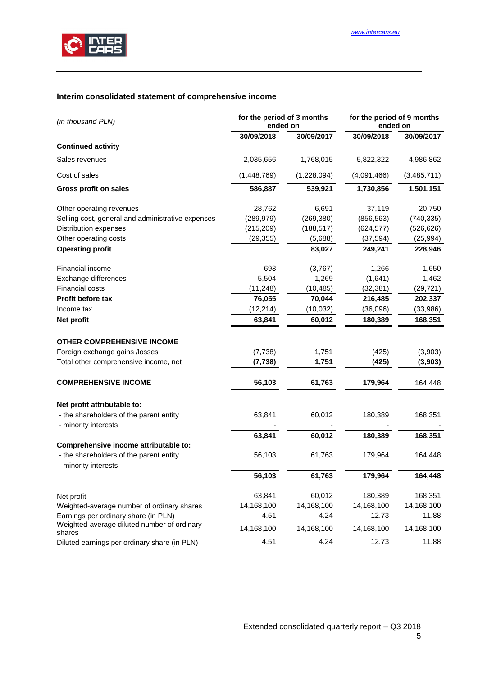

# <span id="page-4-0"></span>**Interim consolidated statement of comprehensive income**

| (in thousand PLN)                                               | for the period of 3 months<br>ended on |             | for the period of 9 months<br>ended on |             |  |
|-----------------------------------------------------------------|----------------------------------------|-------------|----------------------------------------|-------------|--|
|                                                                 | 30/09/2018                             | 30/09/2017  | 30/09/2018                             | 30/09/2017  |  |
| <b>Continued activity</b>                                       |                                        |             |                                        |             |  |
| Sales revenues                                                  | 2,035,656                              | 1,768,015   | 5,822,322                              | 4,986,862   |  |
| Cost of sales                                                   | (1,448,769)                            | (1,228,094) | (4,091,466)                            | (3,485,711) |  |
| <b>Gross profit on sales</b>                                    | 586,887                                | 539,921     | 1,730,856                              | 1,501,151   |  |
| Other operating revenues                                        | 28,762                                 | 6,691       | 37,119                                 | 20,750      |  |
| Selling cost, general and administrative expenses               | (289, 979)                             | (269, 380)  | (856, 563)                             | (740, 335)  |  |
| Distribution expenses                                           | (215, 209)                             | (188, 517)  | (624, 577)                             | (526, 626)  |  |
| Other operating costs                                           | (29, 355)                              | (5,688)     | (37, 594)                              | (25, 994)   |  |
| <b>Operating profit</b>                                         |                                        | 83,027      | 249,241                                | 228,946     |  |
| Financial income                                                | 693                                    | (3,767)     | 1,266                                  | 1,650       |  |
| Exchange differences                                            | 5,504                                  | 1,269       | (1,641)                                | 1,462       |  |
| Financial costs                                                 | (11, 248)                              | (10, 485)   | (32, 381)                              | (29, 721)   |  |
| <b>Profit before tax</b>                                        | 76,055                                 | 70,044      | 216,485                                | 202,337     |  |
| Income tax                                                      | (12, 214)                              | (10, 032)   | (36,096)                               | (33,986)    |  |
| Net profit                                                      | 63,841                                 | 60,012      | 180,389                                | 168,351     |  |
| <b>OTHER COMPREHENSIVE INCOME</b>                               |                                        |             |                                        |             |  |
| Foreign exchange gains /losses                                  | (7, 738)                               | 1,751       | (425)                                  | (3,903)     |  |
| Total other comprehensive income, net                           | (7, 738)                               | 1,751       | (425)                                  | (3,903)     |  |
| <b>COMPREHENSIVE INCOME</b>                                     | 56,103                                 | 61,763      | 179,964                                | 164,448     |  |
|                                                                 |                                        |             |                                        |             |  |
| Net profit attributable to:                                     |                                        |             |                                        |             |  |
| - the shareholders of the parent entity<br>- minority interests | 63,841                                 | 60,012      | 180,389                                | 168,351     |  |
|                                                                 | 63,841                                 | 60,012      | 180,389                                | 168,351     |  |
| Comprehensive income attributable to:                           |                                        |             |                                        |             |  |
| - the shareholders of the parent entity<br>- minority interests | 56,103                                 | 61,763      | 179,964                                | 164,448     |  |
|                                                                 | 56,103                                 | 61,763      | 179,964                                | 164,448     |  |
| Net profit                                                      | 63,841                                 | 60,012      | 180,389                                | 168,351     |  |
| Weighted-average number of ordinary shares                      | 14,168,100                             | 14,168,100  | 14,168,100                             | 14,168,100  |  |
| Earnings per ordinary share (in PLN)                            | 4.51                                   | 4.24        | 12.73                                  | 11.88       |  |
| Weighted-average diluted number of ordinary<br>shares           | 14,168,100                             | 14,168,100  | 14,168,100                             | 14,168,100  |  |
| Diluted earnings per ordinary share (in PLN)                    | 4.51                                   | 4.24        | 12.73                                  | 11.88       |  |

## 5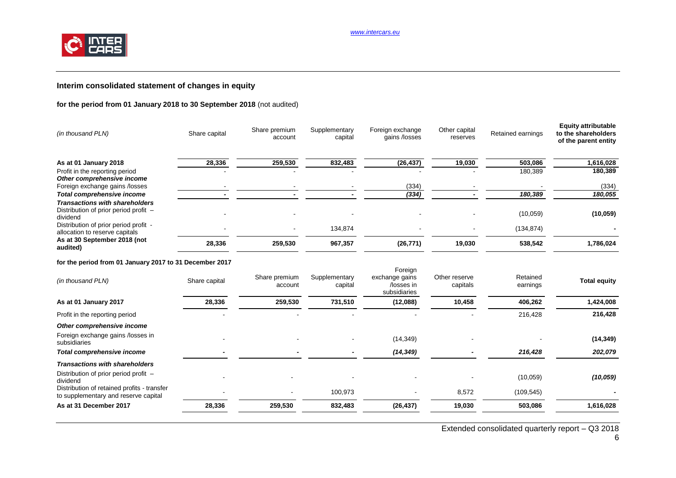

## **Interim consolidated statement of changes in equity**

## **for the period from 01 January 2018 to 30 September 2018** (not audited)

| (in thousand PLN)                                                                          | Share capital | Share premium<br>account | Supplementary<br>capital | Foreign exchange<br>gains /losses                       | Other capital<br>reserves | Retained earnings    | <b>Equity attributable</b><br>to the shareholders<br>of the parent entity |
|--------------------------------------------------------------------------------------------|---------------|--------------------------|--------------------------|---------------------------------------------------------|---------------------------|----------------------|---------------------------------------------------------------------------|
| As at 01 January 2018                                                                      | 28,336        | 259,530                  | 832,483                  | (26, 437)                                               | 19,030                    | 503,086              | 1,616,028                                                                 |
| Profit in the reporting period                                                             |               |                          |                          |                                                         |                           | 180,389              | 180,389                                                                   |
| Other comprehensive income<br>Foreign exchange gains /losses                               |               |                          |                          | (334)                                                   |                           |                      | (334)                                                                     |
| Total comprehensive income                                                                 |               |                          |                          | (334)                                                   |                           | 180,389              | 180,055                                                                   |
| <b>Transactions with shareholders</b><br>Distribution of prior period profit -<br>dividend |               |                          |                          |                                                         |                           | (10,059)             | (10, 059)                                                                 |
| Distribution of prior period profit -<br>allocation to reserve capitals                    |               |                          | 134,874                  |                                                         |                           | (134, 874)           |                                                                           |
| As at 30 September 2018 (not<br>audited)                                                   | 28,336        | 259,530                  | 967,357                  | (26, 771)                                               | 19,030                    | 538,542              | 1,786,024                                                                 |
| for the period from 01 January 2017 to 31 December 2017                                    |               |                          |                          |                                                         |                           |                      |                                                                           |
| (in thousand PLN)                                                                          | Share capital | Share premium<br>account | Supplementary<br>capital | Foreign<br>exchange gains<br>/losses in<br>subsidiaries | Other reserve<br>capitals | Retained<br>earnings | <b>Total equity</b>                                                       |

<span id="page-5-0"></span>

|                                                                                     |        |         |                          | subsidiaries |        |            |           |
|-------------------------------------------------------------------------------------|--------|---------|--------------------------|--------------|--------|------------|-----------|
| As at 01 January 2017                                                               | 28,336 | 259,530 | 731,510                  | (12,088)     | 10,458 | 406,262    | 1,424,008 |
| Profit in the reporting period                                                      |        |         |                          |              |        | 216,428    | 216,428   |
| Other comprehensive income                                                          |        |         |                          |              |        |            |           |
| Foreign exchange gains /losses in<br>subsidiaries                                   |        |         | $\overline{\phantom{0}}$ | (14, 349)    |        |            | (14, 349) |
| Total comprehensive income                                                          |        |         | $\,$                     | (14, 349)    |        | 216,428    | 202,079   |
| <b>Transactions with shareholders</b>                                               |        |         |                          |              |        |            |           |
| Distribution of prior period profit –<br>dividend                                   |        |         | $\overline{\phantom{0}}$ |              |        | (10,059)   | (10, 059) |
| Distribution of retained profits - transfer<br>to supplementary and reserve capital |        |         | 100.973                  |              | 8,572  | (109, 545) |           |
| As at 31 December 2017                                                              | 28,336 | 259,530 | 832,483                  | (26, 437)    | 19,030 | 503,086    | 1,616,028 |
|                                                                                     |        |         |                          |              |        |            |           |

Extended consolidated quarterly report – Q3 2018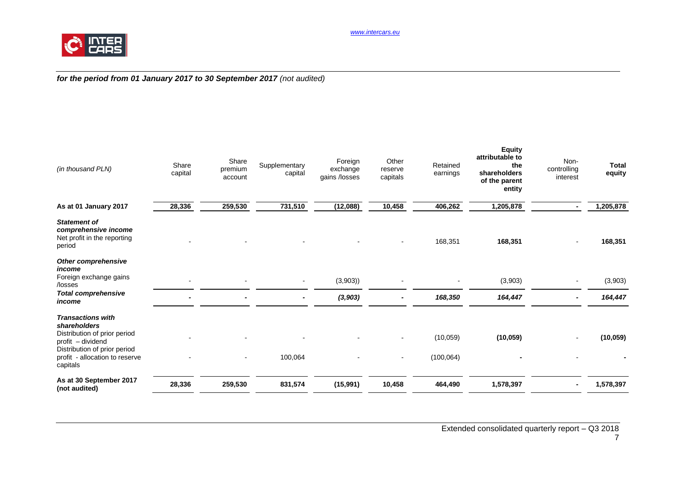

## *for the period from 01 January 2017 to 30 September 2017 (not audited)*

| (in thousand PLN)                                                                                                                                                           | Share<br>capital | Share<br>premium<br>account | Supplementary<br>capital | Foreign<br>exchange<br>gains /losses | Other<br>reserve<br>capitals | Retained<br>earnings   | <b>Equity</b><br>attributable to<br>the<br>shareholders<br>of the parent<br>entity | Non-<br>controlling<br>interest | <b>Total</b><br>equity |
|-----------------------------------------------------------------------------------------------------------------------------------------------------------------------------|------------------|-----------------------------|--------------------------|--------------------------------------|------------------------------|------------------------|------------------------------------------------------------------------------------|---------------------------------|------------------------|
| As at 01 January 2017                                                                                                                                                       | 28,336           | 259,530                     | 731,510                  | (12,088)                             | 10,458                       | 406,262                | 1,205,878                                                                          | $\blacksquare$                  | 1,205,878              |
| <b>Statement of</b><br>comprehensive income<br>Net profit in the reporting<br>period                                                                                        |                  |                             |                          |                                      |                              | 168,351                | 168,351                                                                            |                                 | 168,351                |
| Other comprehensive<br>income<br>Foreign exchange gains<br>/losses                                                                                                          |                  |                             |                          | (3,903)                              |                              |                        | (3,903)                                                                            |                                 | (3,903)                |
| <b>Total comprehensive</b><br>income                                                                                                                                        |                  |                             |                          | (3, 903)                             |                              | 168,350                | 164,447                                                                            |                                 | 164,447                |
| <b>Transactions with</b><br>shareholders<br>Distribution of prior period<br>profit - dividend<br>Distribution of prior period<br>profit - allocation to reserve<br>capitals |                  |                             | 100,064                  |                                      | $\blacksquare$               | (10,059)<br>(100, 064) | (10, 059)                                                                          |                                 | (10, 059)              |
| As at 30 September 2017<br>(not audited)                                                                                                                                    | 28,336           | 259,530                     | 831,574                  | (15, 991)                            | 10,458                       | 464,490                | 1,578,397                                                                          |                                 | 1,578,397              |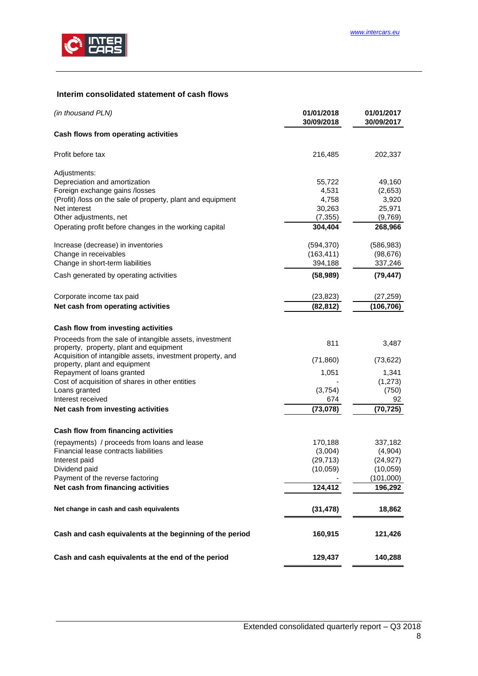

## <span id="page-7-0"></span>**Interim consolidated statement of cash flows**

| (in thousand PLN)                                                                                  | 01/01/2018<br>30/09/2018 | 01/01/2017<br>30/09/2017 |
|----------------------------------------------------------------------------------------------------|--------------------------|--------------------------|
| Cash flows from operating activities                                                               |                          |                          |
| Profit before tax                                                                                  | 216,485                  | 202,337                  |
| Adjustments:                                                                                       |                          |                          |
| Depreciation and amortization                                                                      | 55,722                   | 49,160                   |
| Foreign exchange gains /losses                                                                     | 4,531                    | (2,653)                  |
| (Profit) /loss on the sale of property, plant and equipment                                        | 4,758                    | 3,920                    |
| Net interest                                                                                       | 30,263                   | 25,971                   |
| Other adjustments, net                                                                             | (7, 355)                 | (9,769)                  |
| Operating profit before changes in the working capital                                             | 304,404                  | 268,966                  |
| Increase (decrease) in inventories                                                                 | (594, 370)               | (586, 983)               |
| Change in receivables                                                                              | (163, 411)               | (98, 676)                |
| Change in short-term liabilities                                                                   | 394,188                  | 337,246                  |
| Cash generated by operating activities                                                             | (58, 989)                | (79, 447)                |
| Corporate income tax paid                                                                          | (23, 823)                | (27, 259)                |
| Net cash from operating activities                                                                 | (82, 812)                | (106,706)                |
| Cash flow from investing activities                                                                |                          |                          |
|                                                                                                    |                          |                          |
| Proceeds from the sale of intangible assets, investment<br>property, property, plant and equipment | 811                      | 3,487                    |
| Acquisition of intangible assets, investment property, and                                         | (71, 860)                | (73, 622)                |
| property, plant and equipment<br>Repayment of loans granted                                        | 1,051                    | 1,341                    |
| Cost of acquisition of shares in other entities                                                    |                          | (1,273)                  |
| Loans granted                                                                                      | (3,754)                  | (750)                    |
| Interest received                                                                                  | 674                      | 92                       |
| Net cash from investing activities                                                                 | (73, 078)                | (70, 725)                |
| Cash flow from financing activities                                                                |                          |                          |
| (repayments) / proceeds from loans and lease                                                       | 170,188                  | 337,182                  |
| Financial lease contracts liabilities                                                              | (3,004)                  | (4,904)                  |
| Interest paid                                                                                      | (29, 713)                | (24, 927)                |
| Dividend paid                                                                                      | (10, 059)                | (10, 059)                |
| Payment of the reverse factoring                                                                   |                          | (101,000)                |
| Net cash from financing activities                                                                 | 124,412                  | 196,292                  |
| Net change in cash and cash equivalents                                                            | (31, 478)                | 18,862                   |
| Cash and cash equivalents at the beginning of the period                                           | 160,915                  | 121,426                  |
|                                                                                                    |                          |                          |
| Cash and cash equivalents at the end of the period                                                 | 129,437                  | 140,288                  |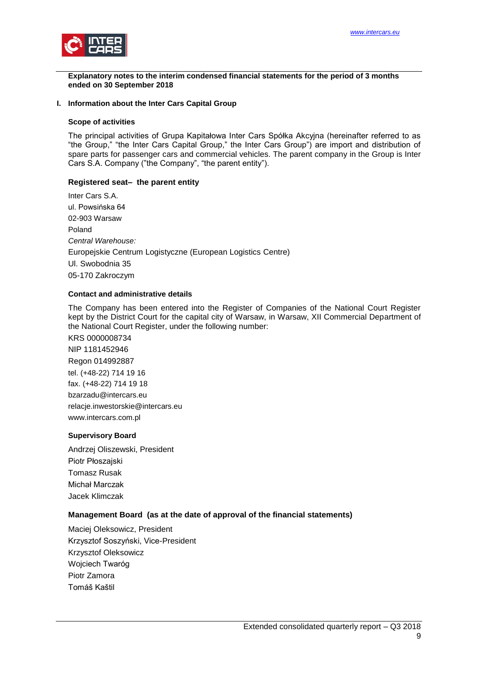

<span id="page-8-0"></span>**Explanatory notes to the interim condensed financial statements for the period of 3 months ended on 30 September 2018**

#### <span id="page-8-1"></span>**I. Information about the Inter Cars Capital Group**

#### **Scope of activities**

The principal activities of Grupa Kapitałowa Inter Cars Spółka Akcyjna (hereinafter referred to as "the Group," "the Inter Cars Capital Group," the Inter Cars Group") are import and distribution of spare parts for passenger cars and commercial vehicles. The parent company in the Group is Inter Cars S.A. Company ("the Company", "the parent entity").

#### **Registered seat– the parent entity**

Inter Cars S.A. ul. Powsińska 64 02-903 Warsaw Poland *Central Warehouse:* Europejskie Centrum Logistyczne (European Logistics Centre) Ul. Swobodnia 35 05-170 Zakroczym

## **Contact and administrative details**

The Company has been entered into the Register of Companies of the National Court Register kept by the District Court for the capital city of Warsaw, in Warsaw, XII Commercial Department of the National Court Register, under the following number:

KRS 0000008734 NIP 1181452946 Regon 014992887 tel. (+48-22) 714 19 16 fax. (+48-22) 714 19 18 bzarzadu@intercars.eu relacje.inwestorskie@intercars.eu www.intercars.com.pl

#### **Supervisory Board**

Andrzej Oliszewski, President Piotr Płoszajski Tomasz Rusak Michał Marczak Jacek Klimczak

#### **Management Board (as at the date of approval of the financial statements)**

Maciej Oleksowicz, President Krzysztof Soszyński, Vice-President Krzysztof Oleksowicz Wojciech Twaróg Piotr Zamora Tomáš Kaštil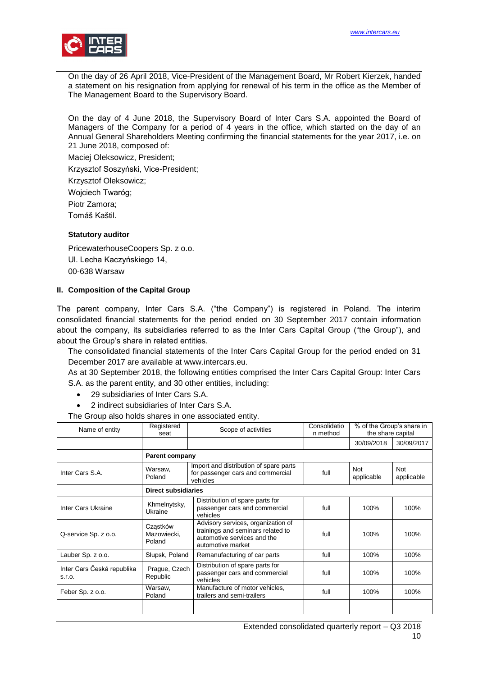

On the day of 26 April 2018, Vice-President of the Management Board, Mr Robert Kierzek, handed a statement on his resignation from applying for renewal of his term in the office as the Member of The Management Board to the Supervisory Board.

On the day of 4 June 2018, the Supervisory Board of Inter Cars S.A. appointed the Board of Managers of the Company for a period of 4 years in the office, which started on the day of an Annual General Shareholders Meeting confirming the financial statements for the year 2017, i.e. on 21 June 2018, composed of:

Maciej Oleksowicz, President;

Krzysztof Soszyński, Vice-President;

Krzysztof Oleksowicz;

Wojciech Twaróg;

Piotr Zamora;

Tomáš Kaštil.

## **Statutory auditor**

PricewaterhouseCoopers Sp. z o.o. Ul. Lecha Kaczyńskiego 14, 00-638 Warsaw

## <span id="page-9-0"></span>**II. Composition of the Capital Group**

The parent company, Inter Cars S.A. ("the Company") is registered in Poland. The interim consolidated financial statements for the period ended on 30 September 2017 contain information about the company, its subsidiaries referred to as the Inter Cars Capital Group ("the Group"), and about the Group's share in related entities.

The consolidated financial statements of the Inter Cars Capital Group for the period ended on 31 December 2017 are available at www.intercars.eu.

As at 30 September 2018, the following entities comprised the Inter Cars Capital Group: Inter Cars S.A. as the parent entity, and 30 other entities, including:

- 29 subsidiaries of Inter Cars S.A.
- 2 indirect subsidiaries of Inter Cars S.A.

The Group also holds shares in one associated entity.

| Name of entity                       | Registered<br>seat                | Consolidatio<br>Scope of activities<br>n method                                                                             |      | % of the Group's share in<br>the share capital |                          |
|--------------------------------------|-----------------------------------|-----------------------------------------------------------------------------------------------------------------------------|------|------------------------------------------------|--------------------------|
|                                      |                                   |                                                                                                                             |      | 30/09/2018                                     | 30/09/2017               |
|                                      | <b>Parent company</b>             |                                                                                                                             |      |                                                |                          |
| Inter Cars S.A.                      | Warsaw,<br>Poland                 | Import and distribution of spare parts<br>for passenger cars and commercial<br>vehicles                                     | full | Not<br>applicable                              | <b>Not</b><br>applicable |
|                                      | <b>Direct subsidiaries</b>        |                                                                                                                             |      |                                                |                          |
| Inter Cars Ukraine                   | Khmelnytsky,<br>Ukraine           | Distribution of spare parts for<br>passenger cars and commercial<br>vehicles                                                | full | 100%                                           | 100%                     |
| Q-service Sp. z o.o.                 | Cząstków<br>Mazowiecki,<br>Poland | Advisory services, organization of<br>trainings and seminars related to<br>automotive services and the<br>automotive market | full | 100%                                           | 100%                     |
| Lauber Sp. z o.o.                    | Słupsk, Poland                    | Remanufacturing of car parts                                                                                                | full | 100%                                           | 100%                     |
| Inter Cars Česká republika<br>S.I.O. | Prague, Czech<br>Republic         | Distribution of spare parts for<br>passenger cars and commercial<br>vehicles                                                | full | 100%                                           | 100%                     |
| Feber Sp. z o.o.                     | Warsaw,<br>Poland                 | Manufacture of motor vehicles,<br>trailers and semi-trailers                                                                | full | 100%                                           | 100%                     |
|                                      |                                   |                                                                                                                             |      |                                                |                          |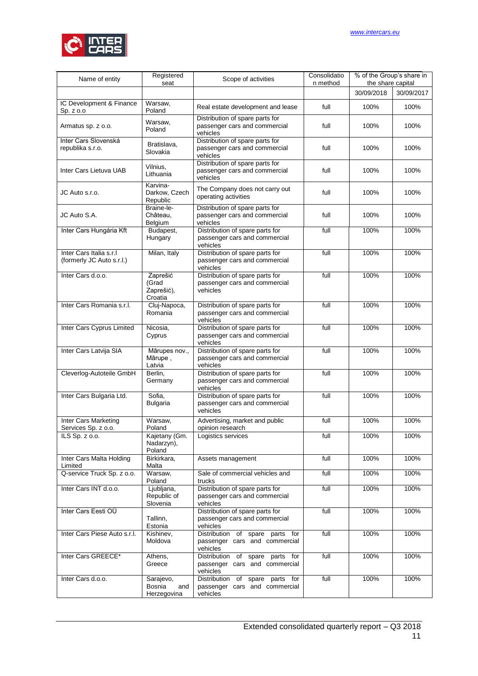

| Name of entity                                       | Registered<br>seat                         | Scope of activities                                                             | Consolidatio<br>n method | % of the Group's share in<br>the share capital |            |
|------------------------------------------------------|--------------------------------------------|---------------------------------------------------------------------------------|--------------------------|------------------------------------------------|------------|
|                                                      |                                            |                                                                                 |                          | 30/09/2018                                     | 30/09/2017 |
| IC Development & Finance<br>Sp. z 0.0                | Warsaw,<br>Poland                          | Real estate development and lease                                               | full                     | 100%                                           | 100%       |
| Armatus sp. z o.o.                                   | Warsaw,<br>Poland                          | Distribution of spare parts for<br>passenger cars and commercial<br>vehicles    | full                     | 100%                                           | 100%       |
| Inter Cars Slovenská<br>republika s.r.o.             | Bratislava,<br>Slovakia                    | Distribution of spare parts for<br>passenger cars and commercial<br>vehicles    | full                     | 100%                                           | 100%       |
| Inter Cars Lietuva UAB                               | Vilnius,<br>Lithuania                      | Distribution of spare parts for<br>passenger cars and commercial<br>vehicles    | full                     | 100%                                           | 100%       |
| JC Auto s.r.o.                                       | Karvina-<br>Darkow, Czech<br>Republic      | The Company does not carry out<br>operating activities                          | full                     | 100%                                           | 100%       |
| JC Auto S.A.                                         | Braine-le-<br>Château,<br>Belgium          | Distribution of spare parts for<br>passenger cars and commercial<br>vehicles    | full                     | 100%                                           | 100%       |
| Inter Cars Hungária Kft                              | Budapest,<br>Hungary                       | Distribution of spare parts for<br>passenger cars and commercial<br>vehicles    | full                     | 100%                                           | 100%       |
| Inter Cars Italia s.r.l<br>(formerly JC Auto s.r.l.) | Milan, Italy                               | Distribution of spare parts for<br>passenger cars and commercial<br>vehicles    | full                     | 100%                                           | 100%       |
| Inter Cars d.o.o.                                    | Zaprešić<br>(Grad<br>Zaprešić),<br>Croatia | Distribution of spare parts for<br>passenger cars and commercial<br>vehicles    | full                     | 100%                                           | 100%       |
| Inter Cars Romania s.r.l.                            | Cluj-Napoca,<br>Romania                    | Distribution of spare parts for<br>passenger cars and commercial<br>vehicles    | full                     | 100%                                           | 100%       |
| Inter Cars Cyprus Limited                            | Nicosia,<br>Cyprus                         | Distribution of spare parts for<br>passenger cars and commercial<br>vehicles    | full                     | 100%                                           | 100%       |
| Inter Cars Latvija SIA                               | Mārupes nov.,<br>Mārupe,<br>Latvia         | Distribution of spare parts for<br>passenger cars and commercial<br>vehicles    | full                     | 100%                                           | 100%       |
| Cleverlog-Autoteile GmbH                             | Berlin,<br>Germany                         | Distribution of spare parts for<br>passenger cars and commercial<br>vehicles    | full                     | 100%                                           | 100%       |
| Inter Cars Bulgaria Ltd.                             | Sofia,<br><b>Bulgaria</b>                  | Distribution of spare parts for<br>passenger cars and commercial<br>vehicles    | full                     | 100%                                           | 100%       |
| Inter Cars Marketing<br>Services Sp. z o.o.          | Warsaw,<br>Poland                          | Advertising, market and public<br>opinion research                              | full                     | 100%                                           | 100%       |
| ILS Sp. z o.o.                                       | Kajetany (Gm.<br>Nadarzyn),<br>Poland      | Logistics services                                                              | full                     | 100%                                           | 100%       |
| Inter Cars Malta Holding<br>Limited                  | Birkirkara,<br>Malta                       | Assets management                                                               | full                     | 100%                                           | 100%       |
| Q-service Truck Sp. z o.o.                           | Warsaw,<br>Poland                          | Sale of commercial vehicles and<br>trucks                                       | full                     | 100%                                           | 100%       |
| Inter Cars INT d.o.o.                                | Ljubljana,<br>Republic of<br>Slovenia      | Distribution of spare parts for<br>passenger cars and commercial<br>vehicles    | full                     | 100%                                           | 100%       |
| Inter Cars Eesti OÜ                                  | Tallinn,<br>Estonia                        | Distribution of spare parts for<br>passenger cars and commercial<br>vehicles    | full                     | 100%                                           | 100%       |
| Inter Cars Piese Auto s.r.l.                         | Kishinev,<br>Moldova                       | Distribution of spare parts for<br>passenger cars and commercial<br>vehicles    | full                     | 100%                                           | 100%       |
| Inter Cars GREECE*                                   | Athens,<br>Greece                          | Distribution of spare parts for<br>passenger cars and commercial<br>vehicles    | full                     | 100%                                           | 100%       |
| Inter Cars d.o.o.                                    | Sarajevo,<br>Bosnia<br>and<br>Herzegovina  | Distribution of<br>spare parts for<br>passenger cars and commercial<br>vehicles | full                     | 100%                                           | 100%       |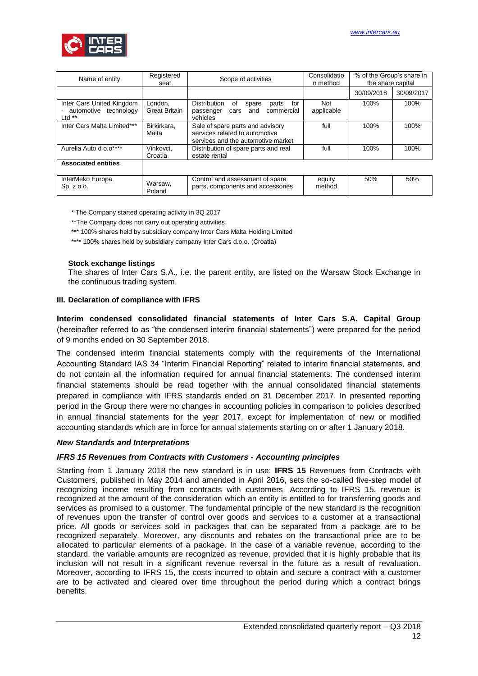

| Name of entity                                               | Registered<br>seat              | Scope of activities                                                                                      | Consolidatio<br>n method | % of the Group's share in<br>the share capital |            |
|--------------------------------------------------------------|---------------------------------|----------------------------------------------------------------------------------------------------------|--------------------------|------------------------------------------------|------------|
|                                                              |                                 |                                                                                                          |                          | 30/09/2018                                     | 30/09/2017 |
| Inter Cars United Kingdom<br>automotive technology<br>Ltd ** | London.<br><b>Great Britain</b> | <b>Distribution</b><br>for<br>of<br>parts<br>spare<br>and<br>commercial<br>passenger<br>cars<br>vehicles | <b>Not</b><br>applicable | 100%                                           | 100%       |
| Inter Cars Malta Limited***                                  | Birkirkara,<br>Malta            | Sale of spare parts and advisory<br>services related to automotive<br>services and the automotive market | full                     | 100%                                           | 100%       |
| Aurelia Auto d o.o****                                       | Vinkovci,<br>Croatia            | Distribution of spare parts and real<br>estate rental                                                    | full                     | 100%                                           | 100%       |
| <b>Associated entities</b>                                   |                                 |                                                                                                          |                          |                                                |            |
| InterMeko Europa<br>Sp. z o.o.                               | Warsaw,<br>Poland               | Control and assessment of spare<br>parts, components and accessories                                     | equity<br>method         | 50%                                            | 50%        |

\* The Company started operating activity in 3Q 2017

\*\* The Company does not carry out operating activities

\*\*\* 100% shares held by subsidiary company Inter Cars Malta Holding Limited

\*\*\*\* 100% shares held by subsidiary company Inter Cars d.o.o. (Croatia)

#### **Stock exchange listings**

The shares of Inter Cars S.A., i.e. the parent entity, are listed on the Warsaw Stock Exchange in the continuous trading system.

#### <span id="page-11-0"></span>**III. Declaration of compliance with IFRS**

**Interim condensed consolidated financial statements of Inter Cars S.A. Capital Group** (hereinafter referred to as "the condensed interim financial statements") were prepared for the period of 9 months ended on 30 September 2018.

The condensed interim financial statements comply with the requirements of the International Accounting Standard IAS 34 "Interim Financial Reporting" related to interim financial statements, and do not contain all the information required for annual financial statements. The condensed interim financial statements should be read together with the annual consolidated financial statements prepared in compliance with IFRS standards ended on 31 December 2017. In presented reporting period in the Group there were no changes in accounting policies in comparison to policies described in annual financial statements for the year 2017, except for implementation of new or modified accounting standards which are in force for annual statements starting on or after 1 January 2018.

#### *New Standards and Interpretations*

#### *IFRS 15 Revenues from Contracts with Customers - Accounting principles*

Starting from 1 January 2018 the new standard is in use: **IFRS 15** Revenues from Contracts with Customers, published in May 2014 and amended in April 2016, sets the so-called five-step model of recognizing income resulting from contracts with customers. According to IFRS 15, revenue is recognized at the amount of the consideration which an entity is entitled to for transferring goods and services as promised to a customer. The fundamental principle of the new standard is the recognition of revenues upon the transfer of control over goods and services to a customer at a transactional price. All goods or services sold in packages that can be separated from a package are to be recognized separately. Moreover, any discounts and rebates on the transactional price are to be allocated to particular elements of a package. In the case of a variable revenue, according to the standard, the variable amounts are recognized as revenue, provided that it is highly probable that its inclusion will not result in a significant revenue reversal in the future as a result of revaluation. Moreover, according to IFRS 15, the costs incurred to obtain and secure a contract with a customer are to be activated and cleared over time throughout the period during which a contract brings benefits.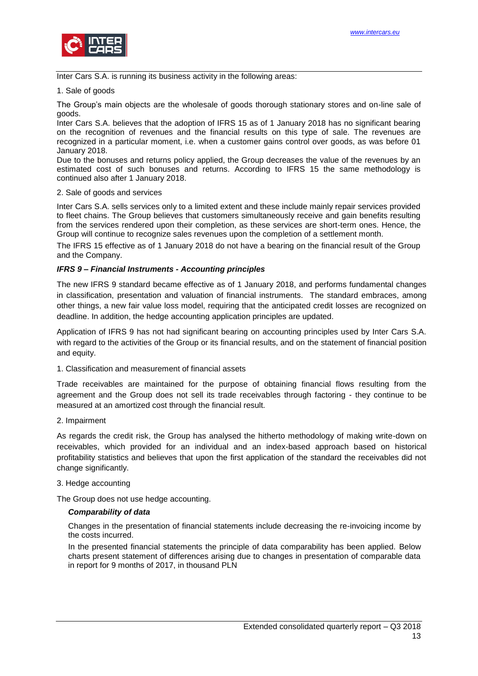

Inter Cars S.A. is running its business activity in the following areas:

## 1. Sale of goods

The Group's main objects are the wholesale of goods thorough stationary stores and on-line sale of goods.

Inter Cars S.A. believes that the adoption of IFRS 15 as of 1 January 2018 has no significant bearing on the recognition of revenues and the financial results on this type of sale. The revenues are recognized in a particular moment, i.e. when a customer gains control over goods, as was before 01 January 2018.

Due to the bonuses and returns policy applied, the Group decreases the value of the revenues by an estimated cost of such bonuses and returns. According to IFRS 15 the same methodology is continued also after 1 January 2018.

#### 2. Sale of goods and services

Inter Cars S.A. sells services only to a limited extent and these include mainly repair services provided to fleet chains. The Group believes that customers simultaneously receive and gain benefits resulting from the services rendered upon their completion, as these services are short-term ones. Hence, the Group will continue to recognize sales revenues upon the completion of a settlement month.

The IFRS 15 effective as of 1 January 2018 do not have a bearing on the financial result of the Group and the Company.

## *IFRS 9 – Financial Instruments - Accounting principles*

The new IFRS 9 standard became effective as of 1 January 2018, and performs fundamental changes in classification, presentation and valuation of financial instruments. The standard embraces, among other things, a new fair value loss model, requiring that the anticipated credit losses are recognized on deadline. In addition, the hedge accounting application principles are updated.

Application of IFRS 9 has not had significant bearing on accounting principles used by Inter Cars S.A. with regard to the activities of the Group or its financial results, and on the statement of financial position and equity.

1. Classification and measurement of financial assets

Trade receivables are maintained for the purpose of obtaining financial flows resulting from the agreement and the Group does not sell its trade receivables through factoring - they continue to be measured at an amortized cost through the financial result.

2. Impairment

As regards the credit risk, the Group has analysed the hitherto methodology of making write-down on receivables, which provided for an individual and an index-based approach based on historical profitability statistics and believes that upon the first application of the standard the receivables did not change significantly.

## 3. Hedge accounting

The Group does not use hedge accounting.

## *Comparability of data*

Changes in the presentation of financial statements include decreasing the re-invoicing income by the costs incurred.

In the presented financial statements the principle of data comparability has been applied. Below charts present statement of differences arising due to changes in presentation of comparable data in report for 9 months of 2017, in thousand PLN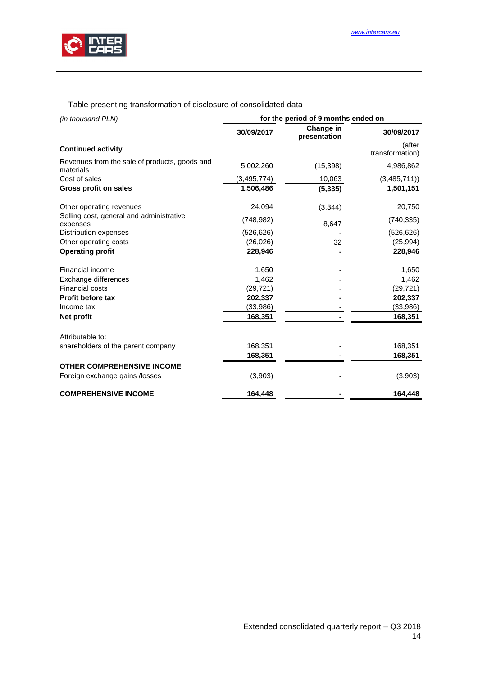

Table presenting transformation of disclosure of consolidated data

| (in thousand PLN)                                          | for the period of 9 months ended on |                           |                           |  |  |  |
|------------------------------------------------------------|-------------------------------------|---------------------------|---------------------------|--|--|--|
|                                                            | 30/09/2017                          | Change in<br>presentation | 30/09/2017                |  |  |  |
| <b>Continued activity</b>                                  |                                     |                           | (after<br>transformation) |  |  |  |
| Revenues from the sale of products, goods and<br>materials | 5,002,260                           | (15, 398)                 | 4,986,862                 |  |  |  |
| Cost of sales                                              | (3,495,774)                         | 10,063                    | (3,485,711)               |  |  |  |
| <b>Gross profit on sales</b>                               | 1,506,486                           | (5, 335)                  | 1,501,151                 |  |  |  |
| Other operating revenues                                   | 24,094                              | (3, 344)                  | 20,750                    |  |  |  |
| Selling cost, general and administrative<br>expenses       | (748, 982)                          | 8,647                     | (740, 335)                |  |  |  |
| Distribution expenses                                      | (526, 626)                          |                           | (526, 626)                |  |  |  |
| Other operating costs                                      | (26, 026)                           | 32                        | (25, 994)                 |  |  |  |
| <b>Operating profit</b>                                    | 228,946                             |                           | 228,946                   |  |  |  |
| Financial income                                           | 1,650                               |                           | 1,650                     |  |  |  |
| Exchange differences                                       | 1,462                               |                           | 1,462                     |  |  |  |
| Financial costs                                            | (29, 721)                           |                           | (29, 721)                 |  |  |  |
| Profit before tax                                          | 202,337                             |                           | 202,337                   |  |  |  |
| Income tax                                                 | (33,986)                            |                           | (33,986)                  |  |  |  |
| Net profit                                                 | 168,351                             |                           | 168,351                   |  |  |  |
| Attributable to:                                           |                                     |                           |                           |  |  |  |
| shareholders of the parent company                         | 168,351                             |                           | 168,351                   |  |  |  |
|                                                            | 168,351                             |                           | 168,351                   |  |  |  |
| <b>OTHER COMPREHENSIVE INCOME</b>                          |                                     |                           |                           |  |  |  |
| Foreign exchange gains /losses                             | (3,903)                             |                           | (3,903)                   |  |  |  |
| <b>COMPREHENSIVE INCOME</b>                                | 164,448                             |                           | 164,448                   |  |  |  |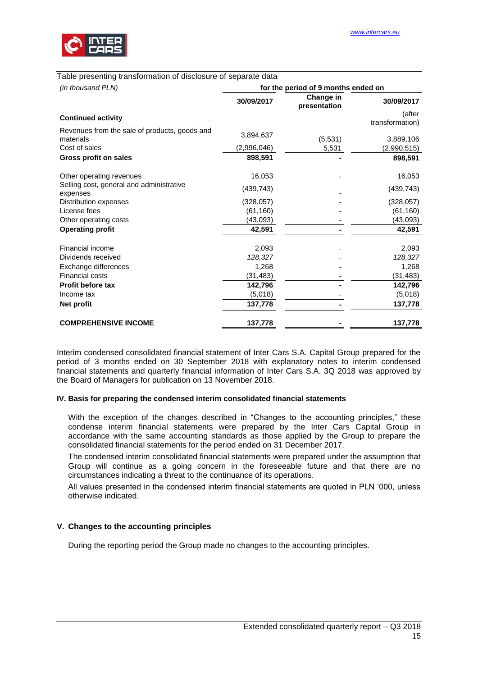

| (in thousand PLN)                                          | for the period of 9 months ended on |                           |                              |  |  |
|------------------------------------------------------------|-------------------------------------|---------------------------|------------------------------|--|--|
|                                                            | 30/09/2017                          | Change in<br>presentation | 30/09/2017                   |  |  |
| <b>Continued activity</b>                                  |                                     |                           | (after                       |  |  |
| Revenues from the sale of products, goods and<br>materials | 3,894,637                           | (5,531)                   | transformation)<br>3,889,106 |  |  |
| Cost of sales                                              | (2,996,046)                         | 5,531                     | (2,990,515)                  |  |  |
| <b>Gross profit on sales</b>                               | 898,591                             |                           | 898,591                      |  |  |
| Other operating revenues                                   | 16,053                              |                           | 16,053                       |  |  |
| Selling cost, general and administrative<br>expenses       | (439, 743)                          |                           | (439, 743)                   |  |  |
| Distribution expenses                                      | (328, 057)                          |                           | (328, 057)                   |  |  |
| License fees                                               | (61, 160)                           |                           | (61, 160)                    |  |  |
| Other operating costs                                      | (43,093)                            |                           | (43,093)                     |  |  |
| <b>Operating profit</b>                                    | 42,591                              |                           | 42,591                       |  |  |
| Financial income                                           | 2,093                               |                           | 2,093                        |  |  |
| Dividends received                                         | 128,327                             |                           | 128,327                      |  |  |
| Exchange differences                                       | 1.268                               |                           | 1,268                        |  |  |
| Financial costs                                            | (31, 483)                           |                           | (31, 483)                    |  |  |
| <b>Profit before tax</b>                                   | 142,796                             |                           | 142,796                      |  |  |
| Income tax                                                 | (5,018)                             |                           | (5,018)                      |  |  |
| Net profit                                                 | 137,778                             |                           | 137,778                      |  |  |
| <b>COMPREHENSIVE INCOME</b>                                | 137,778                             |                           | 137,778                      |  |  |

Interim condensed consolidated financial statement of Inter Cars S.A. Capital Group prepared for the period of 3 months ended on 30 September 2018 with explanatory notes to interim condensed financial statements and quarterly financial information of Inter Cars S.A. 3Q 2018 was approved by the Board of Managers for publication on 13 November 2018.

#### <span id="page-14-0"></span>**IV. Basis for preparing the condensed interim consolidated financial statements**

With the exception of the changes described in "Changes to the accounting principles," these condense interim financial statements were prepared by the Inter Cars Capital Group in accordance with the same accounting standards as those applied by the Group to prepare the consolidated financial statements for the period ended on 31 December 2017.

The condensed interim consolidated financial statements were prepared under the assumption that Group will continue as a going concern in the foreseeable future and that there are no circumstances indicating a threat to the continuance of its operations.

All values presented in the condensed interim financial statements are quoted in PLN '000, unless otherwise indicated.

## <span id="page-14-1"></span>**V. Changes to the accounting principles**

During the reporting period the Group made no changes to the accounting principles.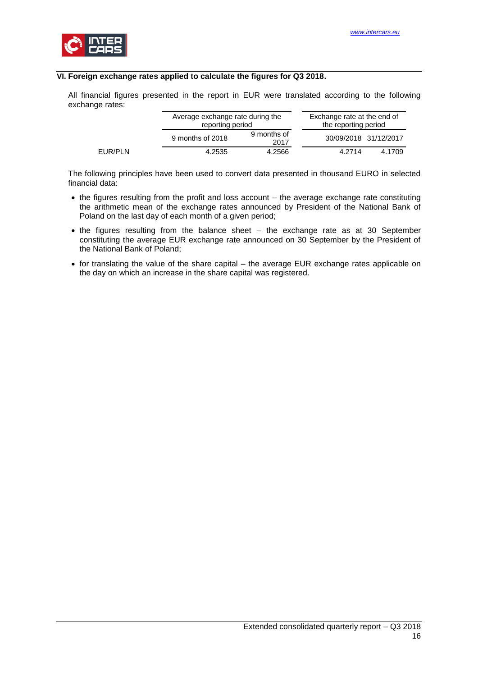

## <span id="page-15-0"></span>**VI. Foreign exchange rates applied to calculate the figures for Q3 2018.**

All financial figures presented in the report in EUR were translated according to the following exchange rates:

|         | Average exchange rate during the<br>reporting period |                     | Exchange rate at the end of<br>the reporting period |        |
|---------|------------------------------------------------------|---------------------|-----------------------------------------------------|--------|
|         | 9 months of 2018                                     | 9 months of<br>2017 | 30/09/2018 31/12/2017                               |        |
| EUR/PLN | 4.2535                                               | 4.2566              | 4.2714                                              | 4.1709 |

The following principles have been used to convert data presented in thousand EURO in selected financial data:

- the figures resulting from the profit and loss account the average exchange rate constituting the arithmetic mean of the exchange rates announced by President of the National Bank of Poland on the last day of each month of a given period:
- the figures resulting from the balance sheet the exchange rate as at 30 September constituting the average EUR exchange rate announced on 30 September by the President of the National Bank of Poland;
- for translating the value of the share capital the average EUR exchange rates applicable on the day on which an increase in the share capital was registered.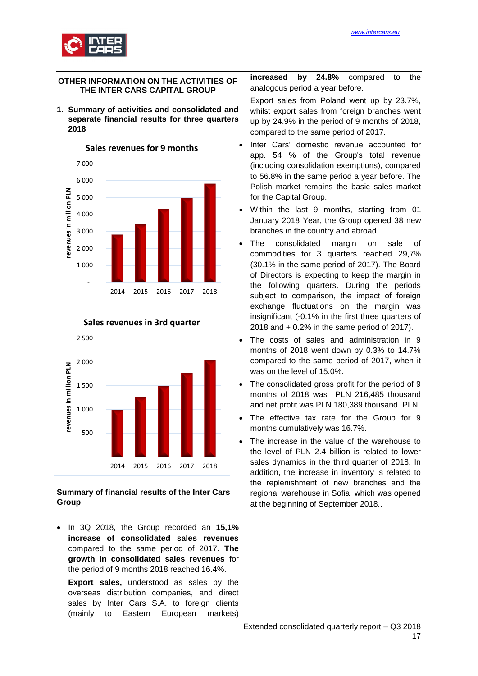

## <span id="page-16-0"></span>**OTHER INFORMATION ON THE ACTIVITIES OF THE INTER CARS CAPITAL GROUP**

<span id="page-16-1"></span>**1. Summary of activities and consolidated and separate financial results for three quarters 2018**





## **Summary of financial results of the Inter Cars Group**

 In 3Q 2018, the Group recorded an **15,1% increase of consolidated sales revenues** compared to the same period of 2017. **The growth in consolidated sales revenues** for the period of 9 months 2018 reached 16.4%.

**Export sales,** understood as sales by the overseas distribution companies, and direct sales by Inter Cars S.A. to foreign clients (mainly to Eastern European markets)

**increased by 24.8%** compared to the analogous period a year before.

Export sales from Poland went up by 23.7%, whilst export sales from foreign branches went up by 24.9% in the period of 9 months of 2018, compared to the same period of 2017.

- Inter Cars' domestic revenue accounted for app. 54 % of the Group's total revenue (including consolidation exemptions), compared to 56.8% in the same period a year before. The Polish market remains the basic sales market for the Capital Group.
- Within the last 9 months, starting from 01 January 2018 Year, the Group opened 38 new branches in the country and abroad.
- The consolidated margin on sale of commodities for 3 quarters reached 29,7% (30.1% in the same period of 2017). The Board of Directors is expecting to keep the margin in the following quarters. During the periods subject to comparison, the impact of foreign exchange fluctuations on the margin was insignificant (-0.1% in the first three quarters of 2018 and + 0.2% in the same period of 2017).
- The costs of sales and administration in 9 months of 2018 went down by 0.3% to 14.7% compared to the same period of 2017, when it was on the level of 15.0%.
- The consolidated gross profit for the period of 9 months of 2018 was PLN 216,485 thousand and net profit was PLN 180,389 thousand. PLN
- The effective tax rate for the Group for 9 months cumulatively was 16.7%.
- The increase in the value of the warehouse to the level of PLN 2.4 billion is related to lower sales dynamics in the third quarter of 2018. In addition, the increase in inventory is related to the replenishment of new branches and the regional warehouse in Sofia, which was opened at the beginning of September 2018..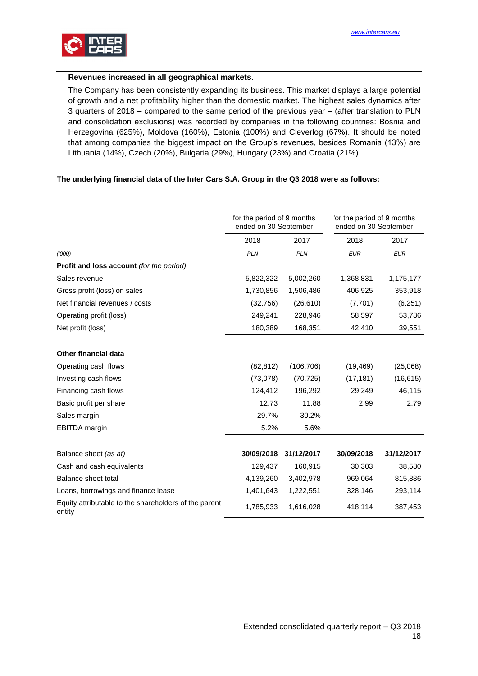

## **Revenues increased in all geographical markets**.

The Company has been consistently expanding its business. This market displays a large potential of growth and a net profitability higher than the domestic market. The highest sales dynamics after 3 quarters of 2018 – compared to the same period of the previous year – (after translation to PLN and consolidation exclusions) was recorded by companies in the following countries: Bosnia and Herzegovina (625%), Moldova (160%), Estonia (100%) and Cleverlog (67%). It should be noted that among companies the biggest impact on the Group's revenues, besides Romania (13%) are Lithuania (14%), Czech (20%), Bulgaria (29%), Hungary (23%) and Croatia (21%).

## **The underlying financial data of the Inter Cars S.A. Group in the Q3 2018 were as follows:**

|                                                                 | for the period of 9 months<br>ended on 30 September |            | for the period of 9 months<br>ended on 30 September |            |  |
|-----------------------------------------------------------------|-----------------------------------------------------|------------|-----------------------------------------------------|------------|--|
|                                                                 | 2018                                                | 2017       | 2018                                                | 2017       |  |
| (000)                                                           | <b>PLN</b>                                          | <b>PLN</b> | <b>EUR</b>                                          | <b>EUR</b> |  |
| <b>Profit and loss account</b> (for the period)                 |                                                     |            |                                                     |            |  |
| Sales revenue                                                   | 5,822,322                                           | 5,002,260  | 1,368,831                                           | 1,175,177  |  |
| Gross profit (loss) on sales                                    | 1,730,856                                           | 1,506,486  | 406,925                                             | 353,918    |  |
| Net financial revenues / costs                                  | (32,756)                                            | (26, 610)  | (7,701)                                             | (6,251)    |  |
| Operating profit (loss)                                         | 249,241                                             | 228,946    | 58,597                                              | 53,786     |  |
| Net profit (loss)                                               | 180,389                                             | 168,351    | 42,410                                              | 39,551     |  |
|                                                                 |                                                     |            |                                                     |            |  |
| <b>Other financial data</b>                                     |                                                     |            |                                                     |            |  |
| Operating cash flows                                            | (82, 812)                                           | (106, 706) | (19, 469)                                           | (25,068)   |  |
| Investing cash flows                                            | (73,078)                                            | (70, 725)  | (17, 181)                                           | (16, 615)  |  |
| Financing cash flows                                            | 124,412                                             | 196,292    | 29,249                                              | 46,115     |  |
| Basic profit per share                                          | 12.73                                               | 11.88      | 2.99                                                | 2.79       |  |
| Sales margin                                                    | 29.7%                                               | 30.2%      |                                                     |            |  |
| <b>EBITDA</b> margin                                            | 5.2%                                                | 5.6%       |                                                     |            |  |
|                                                                 |                                                     |            |                                                     |            |  |
| Balance sheet (as at)                                           | 30/09/2018                                          | 31/12/2017 | 30/09/2018                                          | 31/12/2017 |  |
| Cash and cash equivalents                                       | 129,437                                             | 160,915    | 30,303                                              | 38,580     |  |
| Balance sheet total                                             | 4,139,260                                           | 3,402,978  | 969,064                                             | 815,886    |  |
| Loans, borrowings and finance lease                             | 1,401,643                                           | 1,222,551  | 328,146                                             | 293,114    |  |
| Equity attributable to the shareholders of the parent<br>entity | 1,785,933                                           | 1,616,028  | 418,114                                             | 387,453    |  |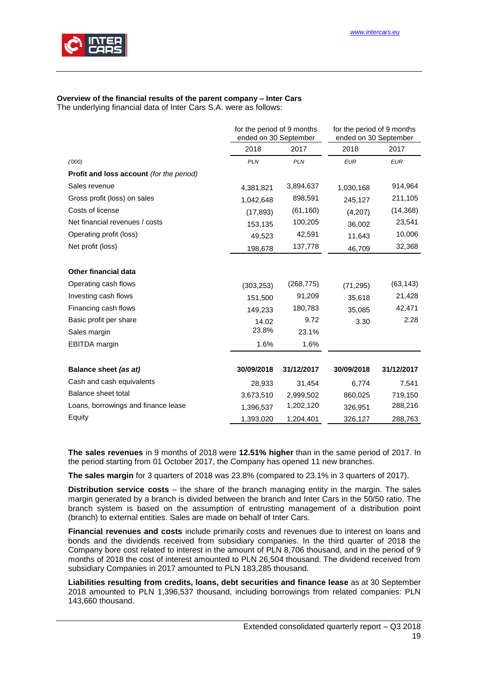

# **Overview of the financial results of the parent company – Inter Cars**

The underlying financial data of Inter Cars S.A. were as follows:

|                                                 | for the period of 9 months<br>ended on 30 September |            | for the period of 9 months<br>ended on 30 September |            |
|-------------------------------------------------|-----------------------------------------------------|------------|-----------------------------------------------------|------------|
|                                                 | 2018                                                | 2017       | 2018                                                | 2017       |
| (000)                                           | <b>PLN</b>                                          | <b>PLN</b> | <b>EUR</b>                                          | <b>EUR</b> |
| <b>Profit and loss account (for the period)</b> |                                                     |            |                                                     |            |
| Sales revenue                                   | 4,381,821                                           | 3,894,637  | 1,030,168                                           | 914,964    |
| Gross profit (loss) on sales                    | 1,042,648                                           | 898,591    | 245,127                                             | 211,105    |
| Costs of license                                | (17, 893)                                           | (61, 160)  | (4,207)                                             | (14, 368)  |
| Net financial revenues / costs                  | 153,135                                             | 100,205    | 36,002                                              | 23,541     |
| Operating profit (loss)                         | 49,523                                              | 42,591     | 11,643                                              | 10,006     |
| Net profit (loss)                               | 198,678                                             | 137,778    | 46,709                                              | 32,368     |
| <b>Other financial data</b>                     |                                                     |            |                                                     |            |
| Operating cash flows                            | (303, 253)                                          | (268, 775) | (71, 295)                                           | (63, 143)  |
| Investing cash flows                            | 151,500                                             | 91,209     | 35,618                                              | 21,428     |
| Financing cash flows                            | 149,233                                             | 180,783    | 35,085                                              | 42,471     |
| Basic profit per share                          | 14.02                                               | 9.72       | 3.30                                                | 2.28       |
| Sales margin                                    | 23.8%                                               | 23.1%      |                                                     |            |
| <b>EBITDA</b> margin                            | 1.6%                                                | 1.6%       |                                                     |            |
| Balance sheet (as at)                           | 30/09/2018                                          | 31/12/2017 | 30/09/2018                                          | 31/12/2017 |
| Cash and cash equivalents                       | 28,933                                              | 31,454     | 6,774                                               | 7,541      |
| Balance sheet total                             | 3,673,510                                           | 2,999,502  | 860,025                                             | 719,150    |
| Loans, borrowings and finance lease             | 1,396,537                                           | 1,202,120  | 326,951                                             | 288,216    |
| Equity                                          | 1,393,020                                           | 1,204,401  | 326,127                                             | 288,763    |

**The sales revenues** in 9 months of 2018 were **12.51% higher** than in the same period of 2017. In the period starting from 01 October 2017, the Company has opened 11 new branches.

**The sales margin** for 3 quarters of 2018 was 23.8% (compared to 23.1% in 3 quarters of 2017).

**Distribution service costs** – the share of the branch managing entity in the margin. The sales margin generated by a branch is divided between the branch and Inter Cars in the 50/50 ratio. The branch system is based on the assumption of entrusting management of a distribution point (branch) to external entities. Sales are made on behalf of Inter Cars.

**Financial revenues and costs** include primarily costs and revenues due to interest on loans and bonds and the dividends received from subsidiary companies. In the third quarter of 2018 the Company bore cost related to interest in the amount of PLN 8,706 thousand, and in the period of 9 months of 2018 the cost of interest amounted to PLN 26,504 thousand. The dividend received from subsidiary Companies in 2017 amounted to PLN 183,285 thousand.

**Liabilities resulting from credits, loans, debt securities and finance lease** as at 30 September 2018 amounted to PLN 1,396,537 thousand, including borrowings from related companies: PLN 143,660 thousand.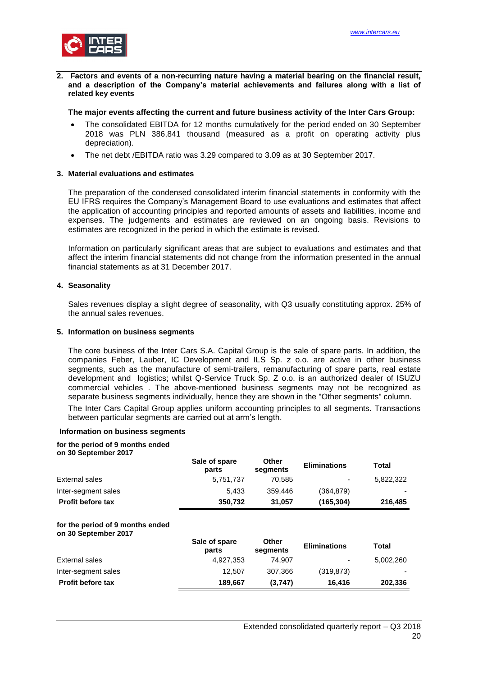

<span id="page-19-0"></span>**2. Factors and events of a non-recurring nature having a material bearing on the financial result, and a description of the Company's material achievements and failures along with a list of related key events**

#### **The major events affecting the current and future business activity of the Inter Cars Group:**

- The consolidated EBITDA for 12 months cumulatively for the period ended on 30 September 2018 was PLN 386,841 thousand (measured as a profit on operating activity plus depreciation).
- The net debt /EBITDA ratio was 3.29 compared to 3.09 as at 30 September 2017.

#### <span id="page-19-1"></span>**3. Material evaluations and estimates**

The preparation of the condensed consolidated interim financial statements in conformity with the EU IFRS requires the Company's Management Board to use evaluations and estimates that affect the application of accounting principles and reported amounts of assets and liabilities, income and expenses. The judgements and estimates are reviewed on an ongoing basis. Revisions to estimates are recognized in the period in which the estimate is revised.

Information on particularly significant areas that are subject to evaluations and estimates and that affect the interim financial statements did not change from the information presented in the annual financial statements as at 31 December 2017.

#### <span id="page-19-2"></span>**4. Seasonality**

Sales revenues display a slight degree of seasonality, with Q3 usually constituting approx. 25% of the annual sales revenues.

#### <span id="page-19-3"></span>**5. Information on business segments**

The core business of the Inter Cars S.A. Capital Group is the sale of spare parts. In addition, the companies Feber, Lauber, IC Development and ILS Sp. z o.o. are active in other business segments, such as the manufacture of semi-trailers, remanufacturing of spare parts, real estate development and logistics; whilst Q-Service Truck Sp. Z o.o. is an authorized dealer of ISUZU commercial vehicles . The above-mentioned business segments may not be recognized as separate business segments individually, hence they are shown in the "Other segments" column.

The Inter Cars Capital Group applies uniform accounting principles to all segments. Transactions between particular segments are carried out at arm's length.

#### **Information on business segments**

#### **for the period of 9 months ended**

**on 30 September 2017**

|                                                          | Sale of spare<br>parts | Other<br>segments        | <b>Eliminations</b> | <b>Total</b> |
|----------------------------------------------------------|------------------------|--------------------------|---------------------|--------------|
| External sales                                           | 5,751,737              | 70.585                   |                     | 5,822,322    |
| Inter-segment sales                                      | 5.433                  | 359,446                  | (364,879)           |              |
| <b>Profit before tax</b>                                 | 350,732                | 31,057                   | (165, 304)          | 216,485      |
| for the period of 9 months ended<br>on 30 September 2017 | Sale of spare<br>parts | <b>Other</b><br>segments | <b>Eliminations</b> | <b>Total</b> |
| External sales                                           | 4,927,353              | 74.907                   |                     | 5,002,260    |
| Inter-segment sales                                      | 12.507                 | 307,366                  | (319, 873)          |              |
| <b>Profit before tax</b>                                 | 189,667                | (3,747)                  | 16.416              | 202,336      |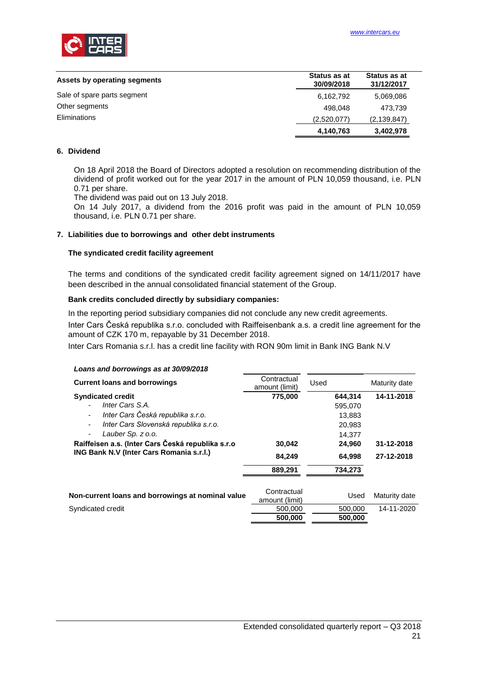

| Assets by operating segments | Status as at<br>30/09/2018 | Status as at<br>31/12/2017 |
|------------------------------|----------------------------|----------------------------|
| Sale of spare parts segment  | 6,162,792                  | 5,069,086                  |
| Other segments               | 498.048                    | 473.739                    |
| <b>Eliminations</b>          | (2,520,077)                | (2, 139, 847)              |
|                              | 4,140,763                  | 3,402,978                  |

#### <span id="page-20-0"></span>**6. Dividend**

On 18 April 2018 the Board of Directors adopted a resolution on recommending distribution of the dividend of profit worked out for the year 2017 in the amount of PLN 10,059 thousand, i.e. PLN 0.71 per share.

The dividend was paid out on 13 July 2018.

On 14 July 2017, a dividend from the 2016 profit was paid in the amount of PLN 10,059 thousand, i.e. PLN 0.71 per share.

#### <span id="page-20-1"></span>**7. Liabilities due to borrowings and other debt instruments**

#### **The syndicated credit facility agreement**

*Loans and borrowings as at 30/09/2018*

The terms and conditions of the syndicated credit facility agreement signed on 14/11/2017 have been described in the annual consolidated financial statement of the Group.

#### **Bank credits concluded directly by subsidiary companies:**

In the reporting period subsidiary companies did not conclude any new credit agreements.

Inter Cars Česká republika s.r.o. concluded with Raiffeisenbank a.s. a credit line agreement for the amount of CZK 170 m, repayable by 31 December 2018.

Inter Cars Romania s.r.l. has a credit line facility with RON 90m limit in Bank ING Bank N.V

| Loans and borrowings as at 30/09/2016             |                               |         |               |
|---------------------------------------------------|-------------------------------|---------|---------------|
| <b>Current loans and borrowings</b>               | Contractual<br>amount (limit) | Used    | Maturity date |
| <b>Syndicated credit</b>                          | 775,000                       | 644.314 | 14-11-2018    |
| Inter Cars S.A.                                   |                               | 595,070 |               |
| Inter Cars Česká republika s.r.o.<br>۰            |                               | 13,883  |               |
| Inter Cars Slovenská republika s.r.o.<br>٠        |                               | 20.983  |               |
| Lauber Sp. z o.o.<br>٠                            |                               | 14,377  |               |
| Raiffeisen a.s. (Inter Cars Česká republika s.r.o | 30,042                        | 24,960  | 31-12-2018    |
| ING Bank N.V (Inter Cars Romania s.r.l.)          | 84,249                        | 64,998  | 27-12-2018    |
|                                                   | 889,291                       | 734,273 |               |
|                                                   |                               |         |               |
| Non-current loans and borrowings at nominal value | Contractual                   | Used    | Maturity date |
|                                                   | amount (limit)                |         |               |
| Syndicated credit                                 | 500,000                       | 500,000 | 14-11-2020    |
|                                                   | 500,000                       | 500,000 |               |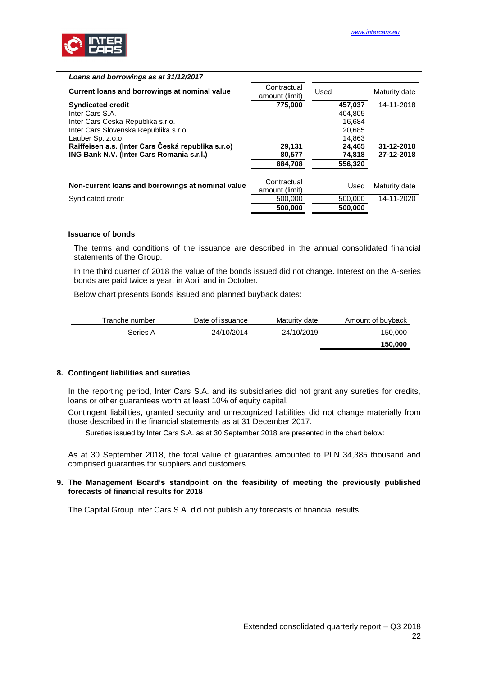

| Loans and borrowings as at 31/12/2017                                                                                                          |                               |                                                  |                          |
|------------------------------------------------------------------------------------------------------------------------------------------------|-------------------------------|--------------------------------------------------|--------------------------|
| Current loans and borrowings at nominal value                                                                                                  | Contractual<br>amount (limit) | Used                                             | Maturity date            |
| <b>Syndicated credit</b><br>Inter Cars S.A.<br>Inter Cars Ceska Republika s.r.o.<br>Inter Cars Slovenska Republika s.r.o.<br>Lauber Sp. z.o.o. | 775,000                       | 457,037<br>404.805<br>16.684<br>20,685<br>14.863 | 14-11-2018               |
| Raiffeisen a.s. (Inter Cars Česká republika s.r.o)<br><b>ING Bank N.V. (Inter Cars Romania s.r.l.)</b>                                         | 29,131<br>80,577<br>884,708   | 24,465<br>74,818<br>556,320                      | 31-12-2018<br>27-12-2018 |
| Non-current loans and borrowings at nominal value                                                                                              | Contractual<br>amount (limit) | Used                                             | Maturity date            |
| Syndicated credit                                                                                                                              | 500,000<br>500,000            | 500,000<br>500.000                               | 14-11-2020               |

# **Issuance of bonds**

The terms and conditions of the issuance are described in the annual consolidated financial statements of the Group.

In the third quarter of 2018 the value of the bonds issued did not change. Interest on the A-series bonds are paid twice a year, in April and in October.

Below chart presents Bonds issued and planned buyback dates:

| Tranche number | Date of issuance | Maturity date | Amount of buyback |
|----------------|------------------|---------------|-------------------|
| Series A       | 24/10/2014       | 24/10/2019    | 150,000           |
|                |                  |               | 150,000           |

#### <span id="page-21-0"></span>**8. Contingent liabilities and sureties**

In the reporting period, Inter Cars S.A. and its subsidiaries did not grant any sureties for credits, loans or other quarantees worth at least 10% of equity capital.

Contingent liabilities, granted security and unrecognized liabilities did not change materially from those described in the financial statements as at 31 December 2017.

Sureties issued by Inter Cars S.A. as at 30 September 2018 are presented in the chart below:

As at 30 September 2018, the total value of guaranties amounted to PLN 34,385 thousand and comprised guaranties for suppliers and customers.

#### <span id="page-21-1"></span>**9. The Management Board's standpoint on the feasibility of meeting the previously published forecasts of financial results for 2018**

The Capital Group Inter Cars S.A. did not publish any forecasts of financial results.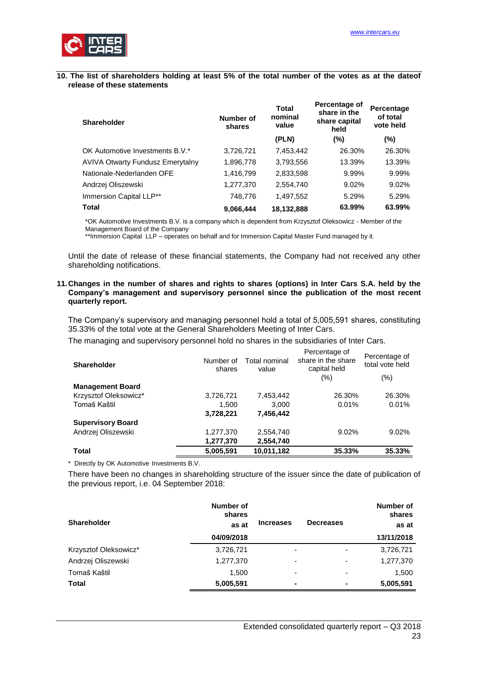

#### <span id="page-22-0"></span>**10. The list of shareholders holding at least 5% of the total number of the votes as at the dateof release of these statements**

| <b>Shareholder</b>                      | Number of<br>shares | <b>Total</b><br>nominal<br>value | Percentage of<br>share in the<br>share capital<br>held | Percentage<br>of total<br>vote held |
|-----------------------------------------|---------------------|----------------------------------|--------------------------------------------------------|-------------------------------------|
|                                         |                     | (PLN)                            | $(\% )$                                                | (%)                                 |
| OK Automotive Investments B.V.*         | 3,726,721           | 7,453,442                        | 26.30%                                                 | 26.30%                              |
| <b>AVIVA Otwarty Fundusz Emerytalny</b> | 1,896,778           | 3,793,556                        | 13.39%                                                 | 13.39%                              |
| Nationale-Nederlanden OFE               | 1,416,799           | 2,833,598                        | 9.99%                                                  | 9.99%                               |
| Andrzej Oliszewski                      | 1,277,370           | 2,554,740                        | 9.02%                                                  | 9.02%                               |
| Immersion Capital LLP**                 | 748,776             | 1,497,552                        | 5.29%                                                  | 5.29%                               |
| Total                                   | 9.066,444           | 18,132,888                       | 63.99%                                                 | 63.99%                              |

\*OK Automotive Investments B.V. is a company which is dependent from Krzysztof Oleksowicz - Member of the Management Board of the Company

\*\*Immersion Capital LLP – operates on behalf and for Immersion Capital Master Fund managed by it.

Until the date of release of these financial statements, the Company had not received any other shareholding notifications.

#### <span id="page-22-1"></span>**11.Changes in the number of shares and rights to shares (options) in Inter Cars S.A. held by the Company's management and supervisory personnel since the publication of the most recent quarterly report.**

The Company's supervisory and managing personnel hold a total of 5,005,591 shares, constituting 35.33% of the total vote at the General Shareholders Meeting of Inter Cars.

The managing and supervisory personnel hold no shares in the subsidiaries of Inter Cars.

| <b>Shareholder</b>       | Number of<br>shares | Total nominal<br>value | Percentage of<br>share in the share<br>capital held<br>$(\% )$ | Percentage of<br>total vote held<br>$(\% )$ |
|--------------------------|---------------------|------------------------|----------------------------------------------------------------|---------------------------------------------|
| <b>Management Board</b>  |                     |                        |                                                                |                                             |
| Krzysztof Oleksowicz*    | 3,726,721           | 7,453,442              | 26.30%                                                         | 26.30%                                      |
| Tomaš Kaštil             | 1,500               | 3.000                  | 0.01%                                                          | 0.01%                                       |
|                          | 3,728,221           | 7,456,442              |                                                                |                                             |
| <b>Supervisory Board</b> |                     |                        |                                                                |                                             |
| Andrzej Oliszewski       | 1,277,370           | 2,554,740              | 9.02%                                                          | 9.02%                                       |
|                          | 1,277,370           | 2,554,740              |                                                                |                                             |
| <b>Total</b>             | 5,005,591           | 10,011,182             | 35.33%                                                         | 35.33%                                      |

\* Directly by OK Automotive Investments B.V.

There have been no changes in shareholding structure of the issuer since the date of publication of the previous report, i.e. 04 September 2018:

| <b>Shareholder</b>    | Number of<br>shares<br>as at | <b>Increases</b>         | <b>Decreases</b>         | Number of<br>shares<br>as at |
|-----------------------|------------------------------|--------------------------|--------------------------|------------------------------|
|                       | 04/09/2018                   |                          |                          | 13/11/2018                   |
| Krzysztof Oleksowicz* | 3,726,721                    | $\overline{\phantom{a}}$ | $\overline{\phantom{0}}$ | 3,726,721                    |
| Andrzej Oliszewski    | 1,277,370                    | -                        | ٠                        | 1,277,370                    |
| Tomaš Kaštil          | 1.500                        | $\overline{\phantom{0}}$ |                          | 1,500                        |
| <b>Total</b>          | 5,005,591                    |                          |                          | 5,005,591                    |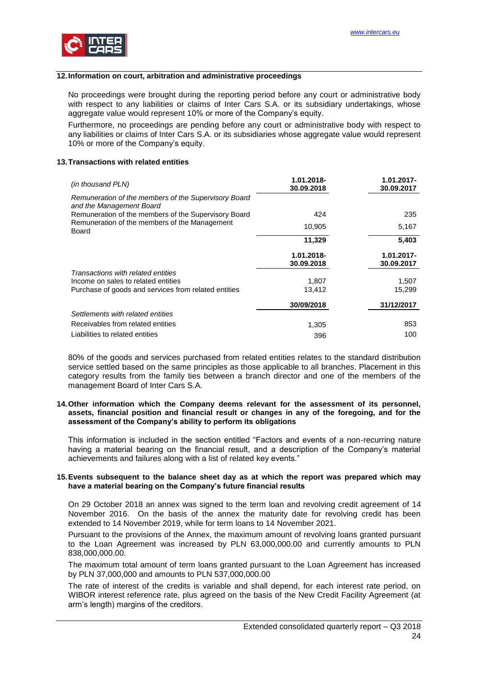

## <span id="page-23-0"></span>**12.Information on court, arbitration and administrative proceedings**

No proceedings were brought during the reporting period before any court or administrative body with respect to any liabilities or claims of Inter Cars S.A. or its subsidiary undertakings, whose aggregate value would represent 10% or more of the Company's equity.

Furthermore, no proceedings are pending before any court or administrative body with respect to any liabilities or claims of Inter Cars S.A. or its subsidiaries whose aggregate value would represent 10% or more of the Company's equity.

#### <span id="page-23-1"></span>**13.Transactions with related entities**

| (in thousand PLN)                                                                | 1.01.2018- | 1.01.2017- |
|----------------------------------------------------------------------------------|------------|------------|
|                                                                                  | 30.09.2018 | 30.09.2017 |
| Remuneration of the members of the Supervisory Board<br>and the Management Board |            |            |
| Remuneration of the members of the Supervisory Board                             | 424        | 235        |
| Remuneration of the members of the Management<br>Board                           | 10,905     | 5,167      |
|                                                                                  | 11,329     | 5,403      |
|                                                                                  | 1.01.2018- | 1.01.2017- |
|                                                                                  | 30.09.2018 | 30.09.2017 |
| Transactions with related entities                                               |            |            |
| Income on sales to related entities                                              | 1,807      | 1,507      |
| Purchase of goods and services from related entities                             | 13,412     | 15,299     |
|                                                                                  | 30/09/2018 | 31/12/2017 |
| Settlements with related entities                                                |            |            |
| Receivables from related entities                                                | 1,305      | 853        |
| Liabilities to related entities                                                  | 396        | 100        |

80% of the goods and services purchased from related entities relates to the standard distribution service settled based on the same principles as those applicable to all branches. Placement in this category results from the family ties between a branch director and one of the members of the management Board of Inter Cars S.A.

#### <span id="page-23-2"></span>**14.Other information which the Company deems relevant for the assessment of its personnel, assets, financial position and financial result or changes in any of the foregoing, and for the assessment of the Company's ability to perform its obligations**

This information is included in the section entitled "Factors and events of a non-recurring nature having a material bearing on the financial result, and a description of the Company's material achievements and failures along with a list of related key events."

#### <span id="page-23-3"></span>**15.Events subsequent to the balance sheet day as at which the report was prepared which may have a material bearing on the Company's future financial results**

On 29 October 2018 an annex was signed to the term loan and revolving credit agreement of 14 November 2016. On the basis of the annex the maturity date for revolving credit has been extended to 14 November 2019, while for term loans to 14 November 2021.

Pursuant to the provisions of the Annex, the maximum amount of revolving loans granted pursuant to the Loan Agreement was increased by PLN 63,000,000.00 and currently amounts to PLN 838,000,000.00.

The maximum total amount of term loans granted pursuant to the Loan Agreement has increased by PLN 37,000,000 and amounts to PLN 537,000,000.00

The rate of interest of the credits is variable and shall depend, for each interest rate period, on WIBOR interest reference rate, plus agreed on the basis of the New Credit Facility Agreement (at arm's length) margins of the creditors.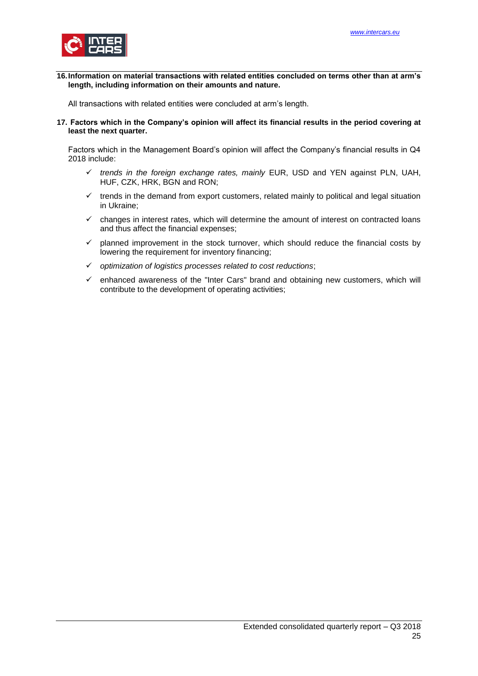

<span id="page-24-0"></span>**16.Information on material transactions with related entities concluded on terms other than at arm's length, including information on their amounts and nature.**

<span id="page-24-1"></span>All transactions with related entities were concluded at arm's length.

**17. Factors which in the Company's opinion will affect its financial results in the period covering at least the next quarter.**

Factors which in the Management Board's opinion will affect the Company's financial results in Q4 2018 include:

- *trends in the foreign exchange rates, mainly* EUR, USD and YEN against PLN, UAH, HUF, CZK, HRK, BGN and RON;
- $\checkmark$  trends in the demand from export customers, related mainly to political and legal situation in Ukraine;
- $\checkmark$  changes in interest rates, which will determine the amount of interest on contracted loans and thus affect the financial expenses;
- $\checkmark$  planned improvement in the stock turnover, which should reduce the financial costs by lowering the requirement for inventory financing;
- *optimization of logistics processes related to cost reductions*;
- enhanced awareness of the "Inter Cars" brand and obtaining new customers, which will contribute to the development of operating activities;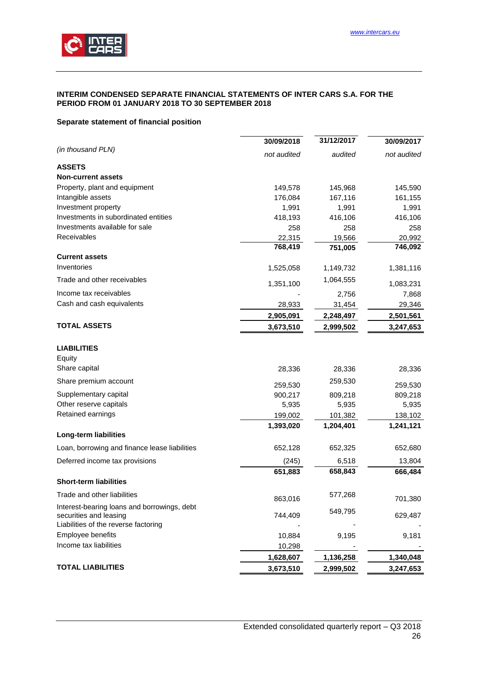

#### <span id="page-25-0"></span>**INTERIM CONDENSED SEPARATE FINANCIAL STATEMENTS OF INTER CARS S.A. FOR THE PERIOD FROM 01 JANUARY 2018 TO 30 SEPTEMBER 2018**

## <span id="page-25-1"></span>**Separate statement of financial position**

|                                                                       | 30/09/2018  | 31/12/2017 | 30/09/2017  |
|-----------------------------------------------------------------------|-------------|------------|-------------|
| (in thousand PLN)                                                     | not audited | audited    | not audited |
| <b>ASSETS</b>                                                         |             |            |             |
| <b>Non-current assets</b>                                             |             |            |             |
| Property, plant and equipment                                         | 149,578     | 145,968    | 145,590     |
| Intangible assets                                                     | 176,084     | 167,116    | 161,155     |
| Investment property                                                   | 1,991       | 1,991      | 1,991       |
| Investments in subordinated entities                                  | 418,193     | 416,106    | 416,106     |
| Investments available for sale                                        | 258         | 258        | 258         |
| Receivables                                                           | 22,315      | 19,566     | 20,992      |
|                                                                       | 768,419     | 751,005    | 746,092     |
| <b>Current assets</b>                                                 |             |            |             |
| Inventories                                                           | 1,525,058   | 1,149,732  | 1,381,116   |
| Trade and other receivables                                           | 1,351,100   | 1,064,555  | 1,083,231   |
| Income tax receivables                                                |             | 2,756      | 7,868       |
| Cash and cash equivalents                                             | 28,933      | 31,454     | 29,346      |
|                                                                       | 2,905,091   | 2,248,497  | 2,501,561   |
| <b>TOTAL ASSETS</b>                                                   | 3,673,510   | 2,999,502  | 3,247,653   |
| <b>LIABILITIES</b>                                                    |             |            |             |
| Equity                                                                |             |            |             |
| Share capital                                                         | 28,336      | 28,336     | 28,336      |
| Share premium account                                                 | 259,530     | 259,530    | 259,530     |
| Supplementary capital                                                 | 900,217     | 809,218    | 809,218     |
| Other reserve capitals                                                | 5,935       | 5,935      | 5,935       |
| Retained earnings                                                     | 199,002     | 101,382    | 138,102     |
|                                                                       | 1,393,020   | 1,204,401  | 1,241,121   |
| Long-term liabilities                                                 |             |            |             |
| Loan, borrowing and finance lease liabilities                         | 652,128     | 652,325    | 652,680     |
| Deferred income tax provisions                                        | (245)       | 6,518      | 13,804      |
|                                                                       | 651,883     | 658,843    | 666,484     |
| <b>Short-term liabilities</b>                                         |             |            |             |
| Trade and other liabilities                                           | 863,016     | 577,268    | 701,380     |
| Interest-bearing loans and borrowings, debt<br>securities and leasing | 744,409     | 549,795    | 629,487     |
| Liabilities of the reverse factoring                                  |             |            |             |
| Employee benefits                                                     | 10,884      | 9,195      | 9,181       |
| Income tax liabilities                                                | 10,298      |            |             |
|                                                                       | 1,628,607   | 1,136,258  | 1,340,048   |
| <b>TOTAL LIABILITIES</b>                                              | 3,673,510   | 2,999,502  | 3,247,653   |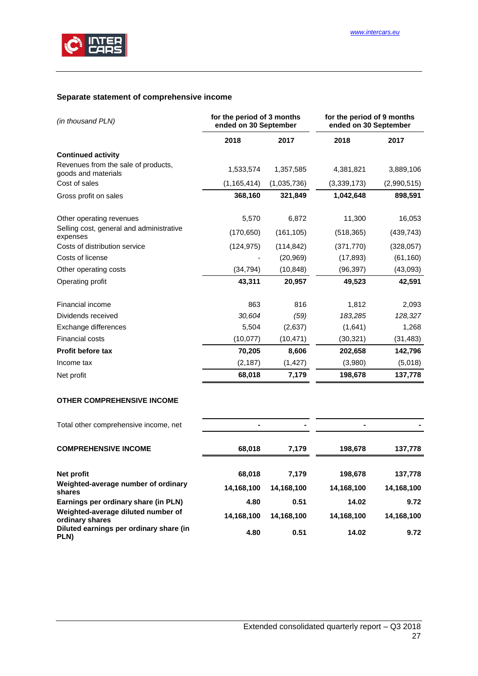

# <span id="page-26-0"></span>**Separate statement of comprehensive income**

| (in thousand PLN)                                          | for the period of 3 months<br>ended on 30 September |             | for the period of 9 months<br>ended on 30 September |             |  |
|------------------------------------------------------------|-----------------------------------------------------|-------------|-----------------------------------------------------|-------------|--|
|                                                            | 2018                                                | 2017        | 2018                                                | 2017        |  |
| <b>Continued activity</b>                                  |                                                     |             |                                                     |             |  |
| Revenues from the sale of products,<br>goods and materials | 1,533,574                                           | 1,357,585   | 4,381,821                                           | 3,889,106   |  |
| Cost of sales                                              | (1, 165, 414)                                       | (1,035,736) | (3,339,173)                                         | (2,990,515) |  |
| Gross profit on sales                                      | 368,160                                             | 321,849     | 1,042,648                                           | 898,591     |  |
| Other operating revenues                                   | 5,570                                               | 6,872       | 11,300                                              | 16,053      |  |
| Selling cost, general and administrative<br>expenses       | (170, 650)                                          | (161, 105)  | (518, 365)                                          | (439, 743)  |  |
| Costs of distribution service                              | (124, 975)                                          | (114, 842)  | (371, 770)                                          | (328, 057)  |  |
| Costs of license                                           |                                                     | (20, 969)   | (17, 893)                                           | (61, 160)   |  |
| Other operating costs                                      | (34, 794)                                           | (10, 848)   | (96, 397)                                           | (43,093)    |  |
| Operating profit                                           | 43,311                                              | 20,957      | 49,523                                              | 42,591      |  |
| Financial income                                           | 863                                                 | 816         | 1,812                                               | 2,093       |  |
| Dividends received                                         | 30,604                                              | (59)        | 183,285                                             | 128,327     |  |
| Exchange differences                                       | 5,504                                               | (2,637)     | (1,641)                                             | 1,268       |  |
| Financial costs                                            | (10, 077)                                           | (10, 471)   | (30, 321)                                           | (31, 483)   |  |
| Profit before tax                                          | 70,205                                              | 8,606       | 202,658                                             | 142,796     |  |
| Income tax                                                 | (2, 187)                                            | (1, 427)    | (3,980)                                             | (5,018)     |  |
| Net profit                                                 | 68,018                                              | 7,179       | 198,678                                             | 137,778     |  |
| <b>OTHER COMPREHENSIVE INCOME</b>                          |                                                     |             |                                                     |             |  |
| Total other comprehensive income, net                      |                                                     |             | $\blacksquare$                                      |             |  |
| <b>COMPREHENSIVE INCOME</b>                                | 68,018                                              | 7,179       | 198,678                                             | 137,778     |  |
| Net profit                                                 | 68,018                                              | 7,179       | 198,678                                             | 137,778     |  |
| Weighted-average number of ordinary<br>shares              | 14,168,100                                          | 14,168,100  | 14,168,100                                          | 14,168,100  |  |
| Earnings per ordinary share (in PLN)                       | 4.80                                                | 0.51        | 14.02                                               | 9.72        |  |
| Weighted-average diluted number of<br>ordinary shares      | 14,168,100                                          | 14,168,100  | 14,168,100                                          | 14,168,100  |  |
| Diluted earnings per ordinary share (in<br>PLN)            | 4.80                                                | 0.51        | 14.02                                               | 9.72        |  |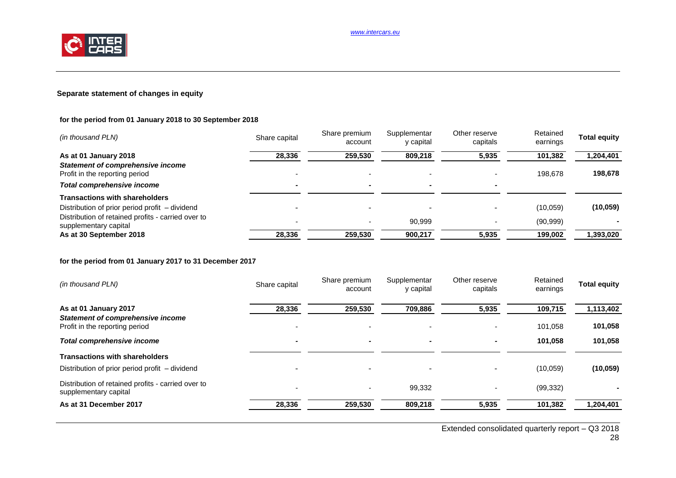

## **Separate statement of changes in equity**

## **for the period from 01 January 2018 to 30 September 2018**

| (in thousand PLN)                                                           | Share capital            | Share premium<br>account | Supplementar<br>y capital | Other reserve<br>capitals | Retained<br>earnings | <b>Total equity</b> |
|-----------------------------------------------------------------------------|--------------------------|--------------------------|---------------------------|---------------------------|----------------------|---------------------|
| As at 01 January 2018                                                       | 28,336                   | 259,530                  | 809,218                   | 5,935                     | 101,382              | 1,204,401           |
| <b>Statement of comprehensive income</b><br>Profit in the reporting period  |                          |                          |                           |                           | 198.678              | 198,678             |
| Total comprehensive income                                                  | $\overline{\phantom{0}}$ |                          |                           |                           |                      |                     |
| <b>Transactions with shareholders</b>                                       |                          |                          |                           |                           |                      |                     |
| Distribution of prior period profit - dividend                              |                          |                          |                           |                           | (10,059)             | (10, 059)           |
| Distribution of retained profits - carried over to<br>supplementary capital |                          |                          | 90.999                    |                           | (90, 999)            |                     |
| As at 30 September 2018                                                     | 28,336                   | 259,530                  | 900,217                   | 5,935                     | 199,002              | 1,393,020           |

## **for the period from 01 January 2017 to 31 December 2017**

| (in thousand PLN)                                                           | Share capital            | Share premium<br>account | Supplementar<br>y capital | Other reserve<br>capitals | Retained<br>earnings | <b>Total equity</b> |
|-----------------------------------------------------------------------------|--------------------------|--------------------------|---------------------------|---------------------------|----------------------|---------------------|
| As at 01 January 2017                                                       | 28,336                   | 259,530                  | 709,886                   | 5,935                     | 109,715              | 1,113,402           |
| <b>Statement of comprehensive income</b><br>Profit in the reporting period  |                          |                          |                           |                           | 101,058              | 101,058             |
| Total comprehensive income                                                  | $\overline{\phantom{0}}$ | -                        | $\overline{\phantom{0}}$  | $\overline{\phantom{a}}$  | 101.058              | 101,058             |
| <b>Transactions with shareholders</b>                                       |                          |                          |                           |                           |                      |                     |
| Distribution of prior period profit – dividend                              | $\overline{\phantom{0}}$ | -                        | $\overline{\phantom{a}}$  |                           | (10,059)             | (10, 059)           |
| Distribution of retained profits - carried over to<br>supplementary capital |                          |                          | 99,332                    |                           | (99, 332)            |                     |
| As at 31 December 2017                                                      | 28,336                   | 259,530                  | 809,218                   | 5,935                     | 101,382              | 1,204,401           |

Extended consolidated quarterly report – Q3 2018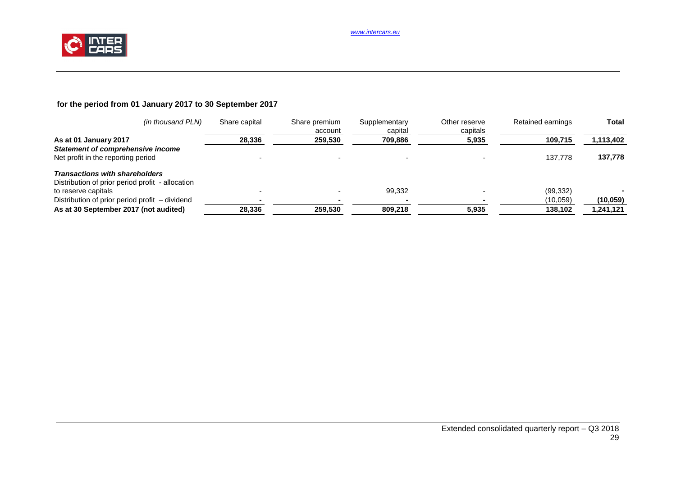

# **for the period from 01 January 2017 to 30 September 2017**

| (in thousand PLN)                                | Share capital | Share premium<br>account | Supplementary<br>capital | Other reserve<br>capitals | Retained earnings | <b>Total</b> |
|--------------------------------------------------|---------------|--------------------------|--------------------------|---------------------------|-------------------|--------------|
| As at 01 January 2017                            | 28,336        | 259,530                  | 709,886                  | 5,935                     | 109,715           | 1,113,402    |
| Statement of comprehensive income                |               |                          |                          |                           |                   |              |
| Net profit in the reporting period               |               |                          |                          |                           | 137.778           | 137,778      |
| <b>Transactions with shareholders</b>            |               |                          |                          |                           |                   |              |
| Distribution of prior period profit - allocation |               |                          |                          |                           |                   |              |
| to reserve capitals                              |               |                          | 99,332                   |                           | (99, 332)         |              |
| Distribution of prior period profit – dividend   |               |                          |                          |                           | (10,059)          | (10, 059)    |
| As at 30 September 2017 (not audited)            | 28,336        | 259,530                  | 809,218                  | 5,935                     | 138,102           | 1,241,121    |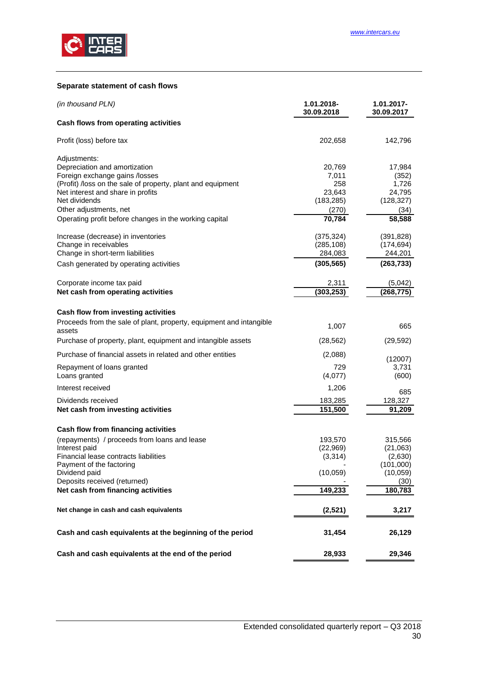

## <span id="page-29-0"></span>**Separate statement of cash flows**

| (in thousand PLN)                                                             | 1.01.2018-<br>30.09.2018 | 1.01.2017-<br>30.09.2017 |
|-------------------------------------------------------------------------------|--------------------------|--------------------------|
| Cash flows from operating activities                                          |                          |                          |
| Profit (loss) before tax                                                      | 202,658                  | 142,796                  |
| Adjustments:                                                                  |                          |                          |
| Depreciation and amortization                                                 | 20,769                   | 17,984                   |
| Foreign exchange gains /losses                                                | 7,011                    | (352)                    |
| (Profit) /loss on the sale of property, plant and equipment                   | 258<br>23,643            | 1,726<br>24,795          |
| Net interest and share in profits<br>Net dividends                            | (183, 285)               | (128, 327)               |
| Other adjustments, net                                                        | (270)                    | (34)                     |
| Operating profit before changes in the working capital                        | 70,784                   | 58,588                   |
| Increase (decrease) in inventories                                            | (375, 324)               | (391, 828)               |
| Change in receivables                                                         | (285, 108)               | (174, 694)               |
| Change in short-term liabilities                                              | 284,083                  | 244,201                  |
| Cash generated by operating activities                                        | (305, 565)               | (263, 733)               |
| Corporate income tax paid                                                     | 2,311                    | (5,042)                  |
| Net cash from operating activities                                            | (303, 253)               | (268, 775)               |
| Cash flow from investing activities                                           |                          |                          |
| Proceeds from the sale of plant, property, equipment and intangible<br>assets | 1,007                    | 665                      |
| Purchase of property, plant, equipment and intangible assets                  | (28, 562)                | (29, 592)                |
| Purchase of financial assets in related and other entities                    | (2,088)                  | (12007)                  |
| Repayment of loans granted<br>Loans granted                                   | 729<br>(4,077)           | 3,731<br>(600)           |
| Interest received                                                             | 1,206                    | 685                      |
| Dividends received                                                            | 183,285                  | 128,327                  |
| Net cash from investing activities                                            | 151,500                  | 91,209                   |
| Cash flow from financing activities                                           |                          |                          |
| (repayments) / proceeds from loans and lease                                  | 193,570                  | 315,566                  |
| Interest paid                                                                 | (22, 969)                | (21,063)                 |
| Financial lease contracts liabilities                                         | (3, 314)                 | (2,630)                  |
| Payment of the factoring                                                      |                          | (101,000)                |
| Dividend paid                                                                 | (10,059)                 | (10, 059)                |
| Deposits received (returned)                                                  |                          | (30)                     |
| Net cash from financing activities                                            | 149,233                  | 180,783                  |
| Net change in cash and cash equivalents                                       | (2,521)                  | 3,217                    |
| Cash and cash equivalents at the beginning of the period                      | 31,454                   | 26,129                   |
| Cash and cash equivalents at the end of the period                            | 28,933                   | 29,346                   |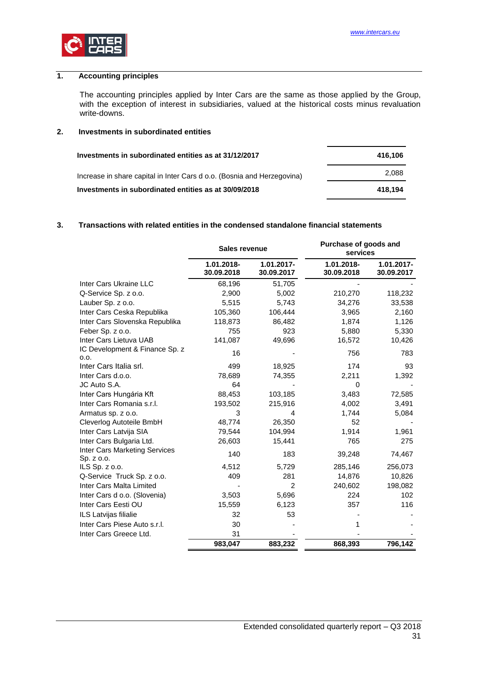# <span id="page-30-0"></span>**1. Accounting principles**

The accounting principles applied by Inter Cars are the same as those applied by the Group, with the exception of interest in subsidiaries, valued at the historical costs minus revaluation write-downs.

## <span id="page-30-1"></span>**2. Investments in subordinated entities**

| Investments in subordinated entities as at 31/12/2017                   | 416.106 |
|-------------------------------------------------------------------------|---------|
| Increase in share capital in Inter Cars d o.o. (Bosnia and Herzegovina) | 2.088   |
| Investments in subordinated entities as at 30/09/2018                   | 418.194 |

## <span id="page-30-2"></span>**3. Transactions with related entities in the condensed standalone financial statements**

|                                                    | <b>Sales revenue</b>     |                          | Purchase of goods and<br>services |                          |
|----------------------------------------------------|--------------------------|--------------------------|-----------------------------------|--------------------------|
|                                                    | 1.01.2018-<br>30.09.2018 | 1.01.2017-<br>30.09.2017 | 1.01.2018-<br>30.09.2018          | 1.01.2017-<br>30.09.2017 |
| Inter Cars Ukraine LLC                             | 68,196                   | 51,705                   |                                   |                          |
| Q-Service Sp. z o.o.                               | 2,900                    | 5,002                    | 210,270                           | 118,232                  |
| Lauber Sp. z o.o.                                  | 5,515                    | 5,743                    | 34,276                            | 33,538                   |
| Inter Cars Ceska Republika                         | 105,360                  | 106,444                  | 3,965                             | 2,160                    |
| Inter Cars Slovenska Republika                     | 118,873                  | 86,482                   | 1,874                             | 1,126                    |
| Feber Sp. z o.o.                                   | 755                      | 923                      | 5,880                             | 5,330                    |
| Inter Cars Lietuva UAB                             | 141,087                  | 49,696                   | 16,572                            | 10,426                   |
| IC Development & Finance Sp. z<br>0.0.             | 16                       |                          | 756                               | 783                      |
| Inter Cars Italia srl.                             | 499                      | 18,925                   | 174                               | 93                       |
| Inter Cars d.o.o.                                  | 78,689                   | 74,355                   | 2,211                             | 1,392                    |
| JC Auto S.A.                                       | 64                       |                          | $\Omega$                          |                          |
| Inter Cars Hungária Kft                            | 88,453                   | 103,185                  | 3,483                             | 72,585                   |
| Inter Cars Romania s.r.l.                          | 193,502                  | 215,916                  | 4,002                             | 3,491                    |
| Armatus sp. z o.o.                                 | 3                        | 4                        | 1,744                             | 5,084                    |
| Cleverlog Autoteile BmbH                           | 48,774                   | 26,350                   | 52                                |                          |
| Inter Cars Latvija SIA                             | 79,544                   | 104,994                  | 1,914                             | 1,961                    |
| Inter Cars Bulgaria Ltd.                           | 26,603                   | 15,441                   | 765                               | 275                      |
| <b>Inter Cars Marketing Services</b><br>Sp. z o.o. | 140                      | 183                      | 39,248                            | 74,467                   |
| ILS Sp. z o.o.                                     | 4,512                    | 5,729                    | 285,146                           | 256,073                  |
| Q-Service Truck Sp. z o.o.                         | 409                      | 281                      | 14,876                            | 10,826                   |
| Inter Cars Malta Limited                           |                          | 2                        | 240,602                           | 198,082                  |
| Inter Cars d o.o. (Slovenia)                       | 3,503                    | 5,696                    | 224                               | 102                      |
| Inter Cars Eesti OU                                | 15,559                   | 6,123                    | 357                               | 116                      |
| ILS Latvijas filialie                              | 32                       | 53                       |                                   |                          |
| Inter Cars Piese Auto s.r.l.                       | 30                       |                          |                                   |                          |
| Inter Cars Greece Ltd.                             | 31                       |                          |                                   |                          |
|                                                    | 983,047                  | 883,232                  | 868,393                           | 796,142                  |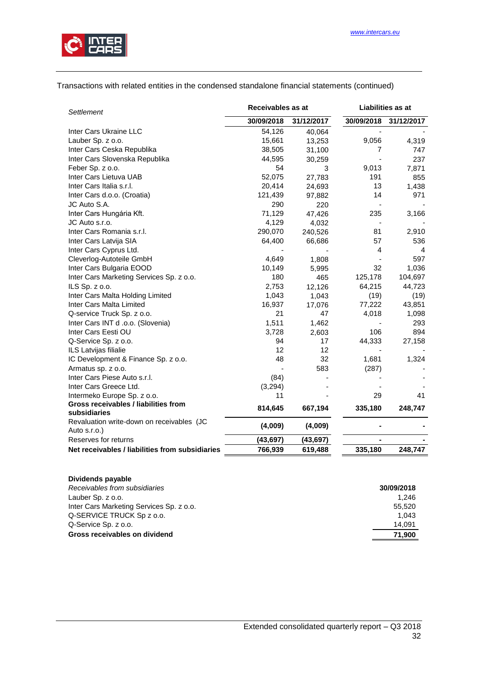

## Transactions with related entities in the condensed standalone financial statements (continued)

| <b>Settlement</b>                                         | Receivables as at |            | <b>Liabilities as at</b> |            |  |
|-----------------------------------------------------------|-------------------|------------|--------------------------|------------|--|
|                                                           | 30/09/2018        | 31/12/2017 | 30/09/2018               | 31/12/2017 |  |
| Inter Cars Ukraine LLC                                    | 54,126            | 40,064     |                          |            |  |
| Lauber Sp. z o.o.                                         | 15,661            | 13,253     | 9,056                    | 4,319      |  |
| Inter Cars Ceska Republika                                | 38,505            | 31,100     | 7                        | 747        |  |
| Inter Cars Slovenska Republika                            | 44,595            | 30,259     |                          | 237        |  |
| Feber Sp. z o.o.                                          | 54                | 3          | 9,013                    | 7,871      |  |
| Inter Cars Lietuva UAB                                    | 52,075            | 27,783     | 191                      | 855        |  |
| Inter Cars Italia s.r.l.                                  | 20,414            | 24,693     | 13                       | 1,438      |  |
| Inter Cars d.o.o. (Croatia)                               | 121,439           | 97,882     | 14                       | 971        |  |
| JC Auto S.A.                                              | 290               | 220        |                          |            |  |
| Inter Cars Hungária Kft.                                  | 71,129            | 47,426     | 235                      | 3,166      |  |
| JC Auto s.r.o.                                            | 4,129             | 4,032      |                          |            |  |
| Inter Cars Romania s.r.l.                                 | 290,070           | 240,526    | 81                       | 2,910      |  |
| Inter Cars Latvija SIA                                    | 64,400            | 66,686     | 57                       | 536        |  |
| Inter Cars Cyprus Ltd.                                    |                   |            | 4                        | 4          |  |
| Cleverlog-Autoteile GmbH                                  | 4,649             | 1,808      |                          | 597        |  |
| Inter Cars Bulgaria EOOD                                  | 10,149            | 5,995      | 32                       | 1,036      |  |
| Inter Cars Marketing Services Sp. z o.o.                  | 180               | 465        | 125,178                  | 104,697    |  |
| ILS Sp. z o.o.                                            | 2,753             | 12,126     | 64,215                   | 44,723     |  |
| Inter Cars Malta Holding Limited                          | 1,043             | 1,043      | (19)                     | (19)       |  |
| Inter Cars Malta Limited                                  | 16,937            | 17,076     | 77,222                   | 43,851     |  |
| Q-service Truck Sp. z o.o.                                | 21                | 47         | 4,018                    | 1,098      |  |
| Inter Cars INT d .o.o. (Slovenia)                         | 1,511             | 1,462      |                          | 293        |  |
| Inter Cars Eesti OU                                       | 3,728             | 2,603      | 106                      | 894        |  |
| Q-Service Sp. z o.o.                                      | 94                | 17         | 44,333                   | 27,158     |  |
| ILS Latvijas filialie                                     | 12                | 12         |                          |            |  |
| IC Development & Finance Sp. z o.o.                       | 48                | 32         | 1,681                    | 1,324      |  |
| Armatus sp. z o.o.                                        |                   | 583        | (287)                    |            |  |
| Inter Cars Piese Auto s.r.l.                              | (84)              |            |                          |            |  |
| Inter Cars Greece Ltd.                                    | (3,294)           |            |                          |            |  |
| Intermeko Europe Sp. z o.o.                               | 11                |            | 29                       | 41         |  |
| Gross receivables / liabilities from<br>subsidiaries      | 814,645           | 667,194    | 335,180                  | 248,747    |  |
| Revaluation write-down on receivables (JC<br>Auto s.r.o.) | (4,009)           | (4,009)    |                          |            |  |
| Reserves for returns                                      | (43, 697)         | (43, 697)  |                          |            |  |
| Net receivables / liabilities from subsidiaries           | 766,939           | 619,488    | 335,180                  | 248,747    |  |

| Dividends payable                        |            |
|------------------------------------------|------------|
| Receivables from subsidiaries            | 30/09/2018 |
| Lauber Sp. z o.o.                        | 1.246      |
| Inter Cars Marketing Services Sp. z o.o. | 55.520     |
| Q-SERVICE TRUCK Sp z o.o.                | 1.043      |
| Q-Service Sp. z o.o.                     | 14.091     |
| Gross receivables on dividend            | 71,900     |